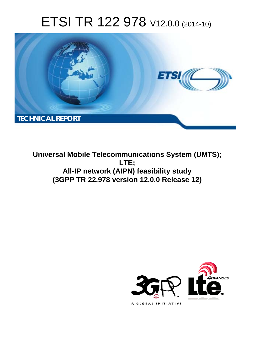# ETSI TR 122 978 V12.0.0 (2014-10)



**Universal Mobile Telecommunications System (UMTS); LTE; All-IP network (AIPN) feasibility study (3GPP TR 22.978 version 12.0.0 Release 12)** 

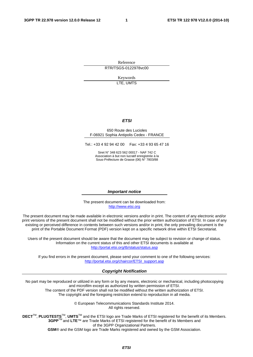Reference RTR/TSGS-0122978vc00

> Keywords LTE, UMTS

### *ETSI*

#### 650 Route des Lucioles F-06921 Sophia Antipolis Cedex - FRANCE

Tel.: +33 4 92 94 42 00 Fax: +33 4 93 65 47 16

Siret N° 348 623 562 00017 - NAF 742 C Association à but non lucratif enregistrée à la Sous-Préfecture de Grasse (06) N° 7803/88

#### *Important notice*

The present document can be downloaded from: [http://www.etsi.org](http://www.etsi.org/)

The present document may be made available in electronic versions and/or in print. The content of any electronic and/or print versions of the present document shall not be modified without the prior written authorization of ETSI. In case of any existing or perceived difference in contents between such versions and/or in print, the only prevailing document is the print of the Portable Document Format (PDF) version kept on a specific network drive within ETSI Secretariat.

Users of the present document should be aware that the document may be subject to revision or change of status. Information on the current status of this and other ETSI documents is available at <http://portal.etsi.org/tb/status/status.asp>

If you find errors in the present document, please send your comment to one of the following services: [http://portal.etsi.org/chaircor/ETSI\\_support.asp](http://portal.etsi.org/chaircor/ETSI_support.asp)

#### *Copyright Notification*

No part may be reproduced or utilized in any form or by any means, electronic or mechanical, including photocopying and microfilm except as authorized by written permission of ETSI.

The content of the PDF version shall not be modified without the written authorization of ETSI. The copyright and the foregoing restriction extend to reproduction in all media.

> © European Telecommunications Standards Institute 2014. All rights reserved.

**DECT**TM, **PLUGTESTS**TM, **UMTS**TM and the ETSI logo are Trade Marks of ETSI registered for the benefit of its Members. **3GPP**TM and **LTE**™ are Trade Marks of ETSI registered for the benefit of its Members and of the 3GPP Organizational Partners.

**GSM**® and the GSM logo are Trade Marks registered and owned by the GSM Association.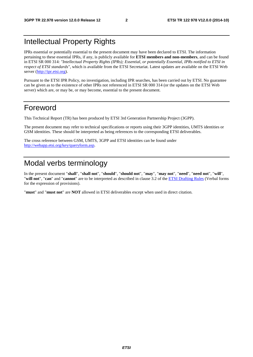## Intellectual Property Rights

IPRs essential or potentially essential to the present document may have been declared to ETSI. The information pertaining to these essential IPRs, if any, is publicly available for **ETSI members and non-members**, and can be found in ETSI SR 000 314: *"Intellectual Property Rights (IPRs); Essential, or potentially Essential, IPRs notified to ETSI in respect of ETSI standards"*, which is available from the ETSI Secretariat. Latest updates are available on the ETSI Web server [\(http://ipr.etsi.org](http://webapp.etsi.org/IPR/home.asp)).

Pursuant to the ETSI IPR Policy, no investigation, including IPR searches, has been carried out by ETSI. No guarantee can be given as to the existence of other IPRs not referenced in ETSI SR 000 314 (or the updates on the ETSI Web server) which are, or may be, or may become, essential to the present document.

## Foreword

This Technical Report (TR) has been produced by ETSI 3rd Generation Partnership Project (3GPP).

The present document may refer to technical specifications or reports using their 3GPP identities, UMTS identities or GSM identities. These should be interpreted as being references to the corresponding ETSI deliverables.

The cross reference between GSM, UMTS, 3GPP and ETSI identities can be found under [http://webapp.etsi.org/key/queryform.asp.](http://webapp.etsi.org/key/queryform.asp)

## Modal verbs terminology

In the present document "**shall**", "**shall not**", "**should**", "**should not**", "**may**", "**may not**", "**need**", "**need not**", "**will**", "**will not**", "**can**" and "**cannot**" are to be interpreted as described in clause 3.2 of the [ETSI Drafting Rules](http://portal.etsi.org/Help/editHelp!/Howtostart/ETSIDraftingRules.aspx) (Verbal forms for the expression of provisions).

"**must**" and "**must not**" are **NOT** allowed in ETSI deliverables except when used in direct citation.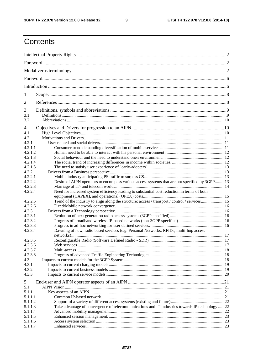$\mathbf{3}$ 

## Contents

| 1                  |                                                                                                |  |  |  |  |  |  |
|--------------------|------------------------------------------------------------------------------------------------|--|--|--|--|--|--|
| 2                  |                                                                                                |  |  |  |  |  |  |
| 3                  |                                                                                                |  |  |  |  |  |  |
| 3.1                |                                                                                                |  |  |  |  |  |  |
| 3.2                |                                                                                                |  |  |  |  |  |  |
| 4                  |                                                                                                |  |  |  |  |  |  |
| 4.1                |                                                                                                |  |  |  |  |  |  |
| 4.2                |                                                                                                |  |  |  |  |  |  |
| 4.2.1              |                                                                                                |  |  |  |  |  |  |
| 4.2.1.1            |                                                                                                |  |  |  |  |  |  |
| 4.2.1.2            |                                                                                                |  |  |  |  |  |  |
| 4.2.1.3            |                                                                                                |  |  |  |  |  |  |
| 4.2.1.4            |                                                                                                |  |  |  |  |  |  |
| 4.2.1.5            |                                                                                                |  |  |  |  |  |  |
| 4.2.2              |                                                                                                |  |  |  |  |  |  |
| 4.2.2.1            |                                                                                                |  |  |  |  |  |  |
| 4.2.2.2            | Desire of AIPN operators to encompass various access systems that are not specified by 3GPP13  |  |  |  |  |  |  |
| 4.2.2.3            |                                                                                                |  |  |  |  |  |  |
| 4.2.2.4            | Need for increased system efficiency leading to substantial cost reduction in terms of both    |  |  |  |  |  |  |
|                    |                                                                                                |  |  |  |  |  |  |
| 4.2.2.5            | Trend of the industry to align along the structure: access / transport / control / services15  |  |  |  |  |  |  |
| 4.2.2.6            |                                                                                                |  |  |  |  |  |  |
| 4.2.3              |                                                                                                |  |  |  |  |  |  |
| 4.2.3.1            |                                                                                                |  |  |  |  |  |  |
| 4.2.3.2            |                                                                                                |  |  |  |  |  |  |
| 4.2.3.3            |                                                                                                |  |  |  |  |  |  |
| 4.2.3.4            | Dawning of new, radio based services (e.g. Personal Networks, RFIDs, multi-hop access          |  |  |  |  |  |  |
|                    |                                                                                                |  |  |  |  |  |  |
| 4.2.3.5            |                                                                                                |  |  |  |  |  |  |
| 4.2.3.6            |                                                                                                |  |  |  |  |  |  |
| 4.2.3.7            |                                                                                                |  |  |  |  |  |  |
| 4.2.3.8            |                                                                                                |  |  |  |  |  |  |
| 4.3                |                                                                                                |  |  |  |  |  |  |
| 4.3.1              |                                                                                                |  |  |  |  |  |  |
| 4.3.2              |                                                                                                |  |  |  |  |  |  |
| 4.3.3              |                                                                                                |  |  |  |  |  |  |
| 5                  |                                                                                                |  |  |  |  |  |  |
| 5.1                |                                                                                                |  |  |  |  |  |  |
| 5.1.1              |                                                                                                |  |  |  |  |  |  |
|                    |                                                                                                |  |  |  |  |  |  |
| 5.1.1.1<br>5.1.1.2 |                                                                                                |  |  |  |  |  |  |
|                    |                                                                                                |  |  |  |  |  |  |
| 5.1.1.3            | Take advantage of convergence of telecommunications and IT industries towards IP technology 22 |  |  |  |  |  |  |
| 5.1.1.4<br>5.1.1.5 |                                                                                                |  |  |  |  |  |  |
|                    |                                                                                                |  |  |  |  |  |  |
| 5.1.1.6            |                                                                                                |  |  |  |  |  |  |
| 5.1.1.7            |                                                                                                |  |  |  |  |  |  |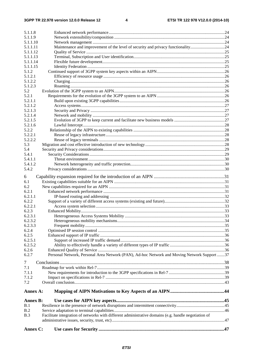| 5.1.1.8              |                                                                                                      |  |
|----------------------|------------------------------------------------------------------------------------------------------|--|
| 5.1.1.9              |                                                                                                      |  |
| 5.1.1.10             |                                                                                                      |  |
| 5.1.1.11             | Maintenance and improvement of the level of security and privacy functionality24                     |  |
| 5.1.1.12             |                                                                                                      |  |
| 5.1.1.13             |                                                                                                      |  |
| 5.1.1.14<br>5.1.1.15 |                                                                                                      |  |
| 5.1.2                |                                                                                                      |  |
| 5.1.2.1              |                                                                                                      |  |
| 5.1.2.2              |                                                                                                      |  |
| 5.1.2.3              |                                                                                                      |  |
| 5.2                  |                                                                                                      |  |
| 5.2.1                |                                                                                                      |  |
| 5.2.1.1              |                                                                                                      |  |
| 5.2.1.2              |                                                                                                      |  |
| 5.2.1.3              |                                                                                                      |  |
| 5.2.1.4              |                                                                                                      |  |
| 5.2.1.5              |                                                                                                      |  |
| 5.2.1.6              |                                                                                                      |  |
| 5.2.2                |                                                                                                      |  |
| 5.2.2.1              |                                                                                                      |  |
| 5.2.2.2              |                                                                                                      |  |
| 5.3                  |                                                                                                      |  |
| 5.4                  |                                                                                                      |  |
| 5.4.1                |                                                                                                      |  |
| 5.4.1.1              |                                                                                                      |  |
| 5.4.1.2              |                                                                                                      |  |
| 5.4.2                |                                                                                                      |  |
| 6                    |                                                                                                      |  |
| 6.1                  |                                                                                                      |  |
| 6.2                  |                                                                                                      |  |
| 6.2.1                |                                                                                                      |  |
| 6.2.1.1              |                                                                                                      |  |
| 6.2.2                |                                                                                                      |  |
| 6.2.2.1              |                                                                                                      |  |
| 6.2.3                |                                                                                                      |  |
| 6.2.3.1              |                                                                                                      |  |
| 6.2.3.2              |                                                                                                      |  |
| 6.2.3.3              |                                                                                                      |  |
| 6.2.4                |                                                                                                      |  |
| 6.2.5                |                                                                                                      |  |
| 6.2.5.1<br>6.2.5.2   |                                                                                                      |  |
| 6.2.6                |                                                                                                      |  |
| 6.2.7                | Personal Network, Personal Area Network (PAN), Ad-hoc Network and Moving Network Support 37          |  |
|                      |                                                                                                      |  |
| $\tau$               |                                                                                                      |  |
| 7.1                  |                                                                                                      |  |
| 7.1.1                |                                                                                                      |  |
| 7.1.2                |                                                                                                      |  |
| 7.2                  |                                                                                                      |  |
| Annex A:             |                                                                                                      |  |
| <b>Annex B:</b>      |                                                                                                      |  |
| B.1                  |                                                                                                      |  |
| B.2                  |                                                                                                      |  |
| B.3                  | Facilitate integration of networks with different administrative domains (e.g. handle negotiation of |  |
|                      |                                                                                                      |  |
|                      |                                                                                                      |  |
| Annex C:             |                                                                                                      |  |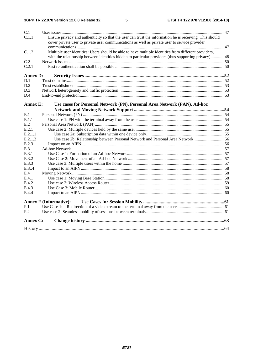| C.1             |                                                                                                                                                                                                          |  |  |  |  |  |  |  |
|-----------------|----------------------------------------------------------------------------------------------------------------------------------------------------------------------------------------------------------|--|--|--|--|--|--|--|
| C.1.1           | Ensure privacy and authenticity so that the user can trust the information he is receiving. This should<br>cover private user to private user communications as well as private user to service provider |  |  |  |  |  |  |  |
| C.1.2           | Multiple user identities: Users should be able to have multiple identities from different providers,                                                                                                     |  |  |  |  |  |  |  |
|                 | with the relationship between identities hidden to particular providers (thus supporting privacy)48                                                                                                      |  |  |  |  |  |  |  |
| C.2             |                                                                                                                                                                                                          |  |  |  |  |  |  |  |
| C.2.1           |                                                                                                                                                                                                          |  |  |  |  |  |  |  |
| <b>Annex D:</b> |                                                                                                                                                                                                          |  |  |  |  |  |  |  |
| D.1             |                                                                                                                                                                                                          |  |  |  |  |  |  |  |
| D.2             |                                                                                                                                                                                                          |  |  |  |  |  |  |  |
| D.3             |                                                                                                                                                                                                          |  |  |  |  |  |  |  |
| D.4             |                                                                                                                                                                                                          |  |  |  |  |  |  |  |
| <b>Annex E:</b> | Use cases for Personal Network (PN), Personal Area Network (PAN), Ad-hoc                                                                                                                                 |  |  |  |  |  |  |  |
|                 |                                                                                                                                                                                                          |  |  |  |  |  |  |  |
| E.1             |                                                                                                                                                                                                          |  |  |  |  |  |  |  |
| E.1.1           |                                                                                                                                                                                                          |  |  |  |  |  |  |  |
| E.2             |                                                                                                                                                                                                          |  |  |  |  |  |  |  |
| E.2.1           |                                                                                                                                                                                                          |  |  |  |  |  |  |  |
| E.2.1.1         |                                                                                                                                                                                                          |  |  |  |  |  |  |  |
| E.2.1.2         | Use case 2b: Relationship between Personal Network and Personal Area Network56                                                                                                                           |  |  |  |  |  |  |  |
| E.2.3           |                                                                                                                                                                                                          |  |  |  |  |  |  |  |
| E.3             |                                                                                                                                                                                                          |  |  |  |  |  |  |  |
| E.3.1           |                                                                                                                                                                                                          |  |  |  |  |  |  |  |
| E.3.2           |                                                                                                                                                                                                          |  |  |  |  |  |  |  |
| E.3.3           |                                                                                                                                                                                                          |  |  |  |  |  |  |  |
| E.3.4           |                                                                                                                                                                                                          |  |  |  |  |  |  |  |
| E.4             |                                                                                                                                                                                                          |  |  |  |  |  |  |  |
| E.4.1           |                                                                                                                                                                                                          |  |  |  |  |  |  |  |
| E.4.2           |                                                                                                                                                                                                          |  |  |  |  |  |  |  |
| E.4.3           |                                                                                                                                                                                                          |  |  |  |  |  |  |  |
| E.4.4           |                                                                                                                                                                                                          |  |  |  |  |  |  |  |
|                 | <b>Annex F (Informative):</b>                                                                                                                                                                            |  |  |  |  |  |  |  |
| F.1             |                                                                                                                                                                                                          |  |  |  |  |  |  |  |
| F <sub>12</sub> |                                                                                                                                                                                                          |  |  |  |  |  |  |  |
| <b>Annex G:</b> |                                                                                                                                                                                                          |  |  |  |  |  |  |  |
|                 |                                                                                                                                                                                                          |  |  |  |  |  |  |  |
|                 |                                                                                                                                                                                                          |  |  |  |  |  |  |  |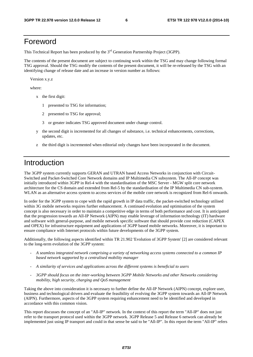## Foreword

This Technical Report has been produced by the  $3<sup>rd</sup>$  Generation Partnership Project (3GPP).

The contents of the present document are subject to continuing work within the TSG and may change following formal TSG approval. Should the TSG modify the contents of the present document, it will be re-released by the TSG with an identifying change of release date and an increase in version number as follows:

Version x.y.z

where:

- x the first digit:
	- 1 presented to TSG for information;
	- 2 presented to TSG for approval;
	- 3 or greater indicates TSG approved document under change control.
- y the second digit is incremented for all changes of substance, i.e. technical enhancements, corrections, updates, etc.
- z the third digit is incremented when editorial only changes have been incorporated in the document.

## Introduction

The 3GPP system currently supports GERAN and UTRAN based Access Networks in conjunction with Circuit-Switched and Packet-Switched Core Network domains and IP Multimedia CN subsystem. The All-IP concept was initially introduced within 3GPP in Rel-4 with the standardisation of the MSC Server - MGW split core network architecture for the CS domain and extended from Rel-5 by the standardisation of the IP Multimedia CN sub-system. WLAN as an alternative access system to access services of the mobile core network is recognized from Rel-6 onwards.

In order for the 3GPP system to cope with the rapid growth in IP data traffic, the packet-switched technology utilised within 3G mobile networks requires further enhancement. A continued evolution and optimisation of the system concept is also necessary in order to maintain a competitive edge in terms of both performance and cost. It is anticipated that the progression towards an All-IP Network (AIPN) may enable leverage of information technology (IT) hardware and software with general-purpose, and mobile network specific software that should provide cost reduction (CAPEX and OPEX) for infrastructure equipment and applications of 3GPP based mobile networks. Moreover, it is important to ensure compliance with Internet protocols within future developments of the 3GPP system.

Additionally, the following aspects identified within TR 21.902 'Evolution of 3GPP System' [2] are considered relevant to the long-term evolution of the 3GPP system:

- *A seamless integrated network comprising a variety of networking access systems connected to a common IP based network supported by a centralised mobility manager*
- *A similarity of services and applications across the different systems is beneficial to users*
- *3GPP should focus on the inter-working between 3GPP Mobile Networks and other Networks considering mobility, high security, charging and QoS management*

Taking the above into consideration it is necessary to further define the All-IP Network (AIPN) concept, explore user, business and technological drivers and evaluate the feasibility of evolving the 3GPP system towards an All-IP Network (AIPN). Furthermore, aspects of the 3GPP system requiring enhancement need to be identified and developed in accordance with this common vision.

This report discusses the concept of an "All-IP" network. In the context of this report the term "All-IP" does not just refer to the transport protocol used within the 3GPP network. 3GPP Release 5 and Release 6 network can already be implemented just using IP transport and could in that sense be said to be "All-IP". In this report the term "All-IP" refers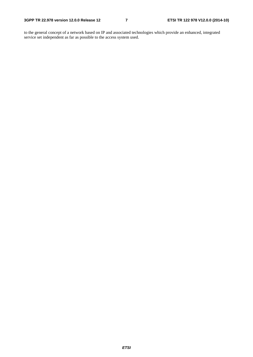to the general concept of a network based on IP and associated technologies which provide an enhanced, integrated service set independent as far as possible to the access system used.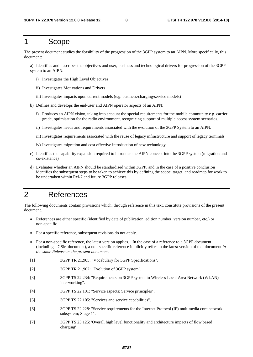## 1 Scope

The present document studies the feasibility of the progression of the 3GPP system to an AIPN. More specifically, this document:

a) Identifies and describes the objectives and user, business and technological drivers for progression of the 3GPP system to an AIPN:

- i) Investigates the High Level Objectives
- ii) Investigates Motivations and Drivers
- iii) Investigates impacts upon current models (e.g. business/charging/service models)
- b) Defines and develops the end-user and AIPN operator aspects of an AIPN:
	- i) Produces an AIPN vision, taking into account the special requirements for the mobile community e.g. carrier grade, optimisation for the radio environment, recognizing support of multiple access system scenarios.
	- ii) Investigates needs and requirements associated with the evolution of the 3GPP System to an AIPN.
	- iii) Investigates requirements associated with the reuse of legacy infrastructure and support of legacy terminals
	- iv) Investigates migration and cost effective introduction of new technology.
- c) Identifies the capability expansion required to introduce the AIPN concept into the 3GPP system (migration and co-existence)
- d) Evaluates whether an AIPN should be standardised within 3GPP, and in the case of a positive conclusion identifies the subsequent steps to be taken to achieve this by defining the scope, target, and roadmap for work to be undertaken within Rel-7 and future 3GPP releases.

## 2 References

The following documents contain provisions which, through reference in this text, constitute provisions of the present document.

- References are either specific (identified by date of publication, edition number, version number, etc.) or non-specific.
- For a specific reference, subsequent revisions do not apply.
- For a non-specific reference, the latest version applies. In the case of a reference to a 3GPP document (including a GSM document), a non-specific reference implicitly refers to the latest version of that document *in the same Release as the present document*.
- [1] 3GPP TR 21.905: "Vocabulary for 3GPP Specifications".
- [2] 3GPP TR 21.902: "Evolution of 3GPP system".
- [3] 3GPP TS 22.234: "Requirements on 3GPP system to Wireless Local Area Network (WLAN) interworking".
- [4] 3GPP TS 22.101: "Service aspects; Service principles".
- [5] 3GPP TS 22.105: "Services and service capabilities".
- [6] 3GPP TS 22.228: "Service requirements for the Internet Protocol (IP) multimedia core network subsystem; Stage 1".
- [7] 3GPP TS 23.125: 'Overall high level functionality and architecture impacts of flow based charging'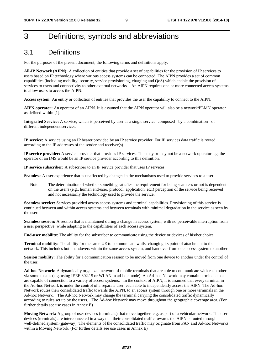## 3 Definitions, symbols and abbreviations

## 3.1 Definitions

For the purposes of the present document, the following terms and definitions apply.

**All-IP Network** (**AIPN):** A collection of entities that provide a set of capabilities for the provision of IP services to users based on IP technology where various access systems can be connected. The AIPN provides a set of common capabilities (including mobility, security, service provisioning, charging and QoS) which enable the provision of services to users and connectivity to other external networks. An AIPN requires one or more connected access systems to allow users to access the AIPN.

**Access system:** An entity or collection of entities that provides the user the capability to connect to the AIPN.

**AIPN operator:** An operator of an AIPN. It is assumed that the AIPN operator will also be a network/PLMN operator as defined within [1].

**Integrated Service:** A service, which is perceived by user as a single service, composed by a combination of different independent services.

**IP service:** A service using an IP bearer provided by an IP service provider. For IP services data traffic is routed according to the IP addresses of the sender and receiver(s).

**IP service provider:** A service provider that provides IP services. This may or may not be a network operator e.g. the operator of an IMS would be an IP service provider according to this definition.

**IP service subscriber:** A subscriber to an IP service provider that uses IP services.

**Seamless:** A user experience that is unaffected by changes in the mechanisms used to provide services to a user.

Note: The determination of whether something satisfies the requirement for being seamless or not is dependent on the user's (e.g., human end-user, protocol, application, etc.) perception of the service being received and not necessarily the technology used to provide the service.

**Seamless service:** Services provided across access systems and terminal capabilities. Provisioning of this service is continued between and within access systems and between terminals with minimal degradation in the service as seen by the user.

**Seamless session:** A session that is maintained during a change in access system, with no perceivable interruption from a user perspective, while adapting to the capabilities of each access system.

**End-user mobility:** The ability for the subscriber to communicate using the device or devices of his/her choice

**Terminal mobility:** The ability for the same UE to communicate whilst changing its point of attachment to the network. This includes both handovers within the same access system, and handover from one access system to another.

**Session mobility:** The ability for a communication session to be moved from one device to another under the control of the user.

**Ad-hoc Network:** A dynamically organized network of mobile terminals that are able to communicate with each other via some means (e.g. using IEEE 802.15 or WLAN in ad-hoc mode). An Ad-hoc Network may contain terminals that are capable of connection to a variety of access systems. In the context of AIPN, it is assumed that every terminal in the Ad-hoc Network is under the control of a separate user, each able to independently access the AIPN. The Ad-hoc Network routes their consolidated traffic towards the AIPN, to an access system through one or more terminals in the Ad-hoc Network. The Ad-hoc Network may change the terminal carrying the consolidated traffic dynamically according to rules set up by the users. The Ad-hoc Network may move throughout the geographic coverage area. (For further details see use cases in Annex E)

**Moving Network:** A group of user devices (terminals) that move together, e.g. as part of a vehicular network. The user devices (terminals) are interconnected in a way that their consolidated traffic towards the AIPN is routed through a well-defined system (gateway). The elements of the consolidated traffic may originate from PAN and Ad-hoc Networks within a Moving Network. (For further details see use cases in Annex E)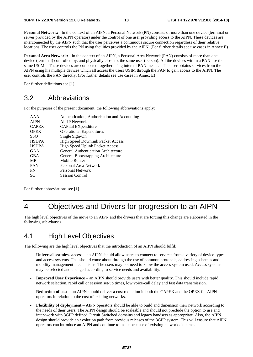**Personal Network:** In the context of an AIPN, a Personal Network (PN) consists of more than one device (terminal or server provided by the AIPN operator) under the control of one user providing access to the AIPN. These devices are interconnected by the AIPN such that the user perceives a continuous secure connection regardless of their relative locations. The user controls the PN using facilities provided by the AIPN. (For further details see use cases in Annex E)

**Personal Area Network:** In the context of an AIPN, a Personal Area Network (PAN) consists of more than one device (terminal) controlled by, and physically close to, the same user (person). All the devices within a PAN use the same USIM. These devices are connected together using internal PAN means. The user obtains services from the AIPN using his multiple devices which all access the users USIM through the PAN to gain access to the AIPN. The user controls the PAN directly. (For further details see use cases in Annex E)

For further definitions see [1].

## 3.2 Abbreviations

For the purposes of the present document, the following abbreviations apply:

| AAA          | Authentication, Authorisation and Accounting |
|--------------|----------------------------------------------|
| <b>AIPN</b>  | All-IP Network                               |
| <b>CAPEX</b> | CAPital EXpenditure                          |
| <b>OPEX</b>  | <b>OPerational Expenditures</b>              |
| <b>SSO</b>   | Single Sign-On                               |
| <b>HSDPA</b> | <b>High Speed Downlink Packet Access</b>     |
| <b>HSUPA</b> | <b>High Speed Uplink Packet Access</b>       |
| GAA          | General Authentication Architecture          |
| <b>GBA</b>   | General Bootstrapping Architecture           |
| <b>MR</b>    | Mobile Router                                |
| <b>PAN</b>   | Personal Area Network                        |
| <b>PN</b>    | Personal Network                             |
| <b>SC</b>    | <b>Session Control</b>                       |
|              |                                              |

For further abbreviations see [1].

## 4 Objectives and Drivers for progression to an AIPN

The high level objectives of the move to an AIPN and the drivers that are forcing this change are elaborated in the following sub-clauses.

## 4.1 High Level Objectives

The following are the high level objectives that the introduction of an AIPN should fulfil:

- **Universal seamless access** an AIPN should allow users to connect to services from a variety of device-types and access systems. This should come about through the use of common protocols, addressing schemes and mobility management mechanisms. The users may not need to know the access system used. Access systems may be selected and changed according to service needs and availability.
- **Improved User Experience**  an AIPN should provide users with better quality. This should include rapid network selection, rapid call or session set-up times, low voice-call delay and fast data transmission.
- **Reduction of cost** an AIPN should deliver a cost reduction in both the CAPEX and the OPEX for AIPN operators in relation to the cost of existing networks.
- **Flexibility of deployment** AIPN operators should be able to build and dimension their network according to the needs of their users. The AIPN design should be scaleable and should not preclude the option to use and inter-work with 3GPP defined Circuit Switched domains and legacy handsets as appropriate. Also, the AIPN design should provide an evolution path from previous releases of the 3GPP system. This will ensure that AIPN operators can introduce an AIPN and continue to make best use of existing network elements.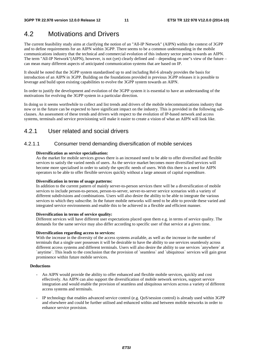## 4.2 Motivations and Drivers

The current feasibility study aims at clarifying the notion of an "All-IP Network" (AIPN) within the context of 3GPP and to define requirements for an AIPN within 3GPP. There seems to be a common understanding in the mobile communications industry that the technical and commercial evolution of this industry sector points towards an AIPN. The term "All-IP Network"(AIPN), however, is not (yet) clearly defined and – depending on one"s view of the future – can mean many different aspects of anticipated communication systems that are based on IP.

It should be noted that the 3GPP system standardised up to and including Rel-6 already provides the basis for introduction of an AIPN in 3GPP. Building on the foundations provided in previous 3GPP releases it is possible to leverage and build upon existing capabilities to evolve the 3GPP system towards an AIPN.

In order to justify the development and evolution of the 3GPP system it is essential to have an understanding of the motivations for evolving the 3GPP system in a particular direction.

In doing so it seems worthwhile to collect and list trends and drivers of the mobile telecommunications industry that now or in the future can be expected to have significant impact on the industry. This is provided in the following subclauses. An assessment of these trends and drivers with respect to the evolution of IP-based network and access systems, terminals and service provisioning will make it easier to create a vision of what an AIPN will look like.

## 4.2.1 User related and social drivers

### 4.2.1.1 Consumer trend demanding diversification of mobile services

#### **Diversification as service specialisation:**

As the market for mobile services grows there is an increased need to be able to offer diversified and flexible services to satisfy the varied needs of users. As the service market becomes more diversified services will become more specialised in order to satisfy the specific needs of users. With this there is a need for AIPN operators to be able to offer flexible services quickly without a large amount of capital expenditure.

#### **Diversification in terms of usage patterns:**

In addition to the current pattern of mainly server-to-person services there will be a diversification of mobile services to include person-to-person, person-to-server, server-to-server service scenarios with a variety of different subdivisions and combinations. Users will also desire the ability to be able to integrate the various services to which they subscribe. In the future mobile networks will need to be able to provide these varied and integrated service environments and enable this to be achieved in a flexible and efficient manner.

#### **Diversification in terms of service quality:**

Different services will have different user expectations placed upon them e.g. in terms of service quality. The demands for the same service may also differ according to specific user of that service at a given time.

#### **Diversification regarding access to services:**

With the increase in the diversity of the access systems available, as well as the increase in the number of terminals that a single user possesses it will be desirable to have the ability to use services seamlessly across different access systems and different terminals. Users will also desire the ability to use services `anywhere` at `anytime`. This leads to the conclusion that the provision of `seamless` and `ubiquitous` services will gain great prominence within future mobile services.

#### **Deductions**

- An AIPN would provide the ability to offer enhanced and flexible mobile services, quickly and cost effectively. An AIPN can also support the diversification of mobile network services, support service integration and would enable the provision of seamless and ubiquitous services across a variety of different access systems and terminals.
- IP technology that enables advanced service control (e.g. QoS/session control) is already used within 3GPP and elsewhere and could be further utilised and enhanced within and between mobile networks in order to enhance service provision.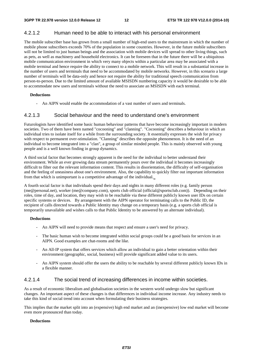### 4.2.1.2 Human need to be able to interact with his personal environment

The mobile subscriber base has grown from a small number of high-end users to the mainstream in which the number of mobile phone subscribers exceeds 70% of the population in some countries. However, in the future mobile subscribers will not be limited to just human beings and the association with mobile devices will spread to other living things, such as pets, as well as machinery and household electronics. It can be foreseen that in the future there will be a ubiquitous mobile communication environment in which very many objects within a particular area may be associated with a mobile terminal and hence require the ability to connect to a mobile network. This will result in a substantial increase in the number of users and terminals that need to be accommodated by mobile networks. However, in this scenario a large number of terminals will be data-only and hence not require the ability for traditional speech communication from person-to-person. Due to the limited amount of available MSISDN numbering capacity it would be desirable to be able to accommodate new users and terminals without the need to associate an MSISDN with each terminal.

#### **Deductions**

An AIPN would enable the accommodation of a vast number of users and terminals.

### 4.2.1.3 Social behaviour and the need to understand one's environment

Futurologists have identified some basic human behaviour patterns that have become increasingly important in modern societies. Two of them have been named "cocooning" and "clanning". "Cocooning" describes a behaviour in which an individual tries to isolate itself for a while from the surrounding society. It essentially expresses the wish for privacy with respect to permanent over-stimulation. "Clanning" describes the opposite phenomenon. It is the need of an individual to become integrated into a "clan", a group of similar minded people. This is mainly observed with young people and is a well known finding in group dynamics.

A third social factor that becomes strongly apparent is the need for the individual to better understand their environment. While an ever growing data stream permanently pours over the individual it becomes increasingly difficult to filter out the relevant information content. This results in disorientation, the difficulty of self-organisation and the feeling of uneasiness about one's environment. Also, the capability to quickly filter out important information from that which is unimportant is a competitive advantage of the individual.

A fourth social factor is that individuals spend their days and nights in many different roles (e.g. family person (me@personal.net), worker (me@company.com), sports club official (official@sportsclub.com)). Depending on their roles, time of day, and location, they may wish to be reachable via these different publicly known user IDs on certain specific systems or devices. By arrangement with the AIPN operator for terminating calls to the Public ID, the recipient of calls directed towards a Public Identity may change on a temporary basis (e.g. a sports club official is temporarily unavailable and wishes calls to that Public Identity to be answered by an alternate individual).

#### **Deductions**

- An AIPN will need to provide means that respect and ensure a user's need for privacy.
- The basic human wish to become integrated within social groups could be a good basis for services in an AIPN. Good examples are chat-rooms and the like.
- An All-IP system that offers services which allow an individual to gain a better orientation within their environment (geographic, social, business) will provide significant added value to its users.
- An AIPN system should offer the users the ability to be reachable by several different publicly known IDs in a flexible manner.

### 4.2.1.4 The social trend of increasing differences in income within societies.

As a result of economic liberalism and globalisation societies in the western world undergo slow but significant changes. An important aspect of these changes is that differences in individual income increase. Any industry needs to take this kind of social trend into account when formulating their business strategies.

This implies that the market split into an (expensive) high end market and an (inexpensive) low end market will become even more pronounced than today.

#### **Deductions**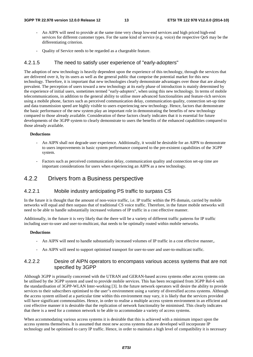- An AIPN will need to provide at the same time very cheap low-end services and high priced high-end services for different customer types. For the same kind of service (e.g. voice) the respective QoS may be the differentiating criterion.
- Quality of Service needs to be regarded as a chargeable feature.

### 4.2.1.5 The need to satisfy user experience of "early-adopters"

The adoption of new technology is heavily dependent upon the experience of this technology, through the services that are delivered over it, by its users as well as the general public that comprise the potential market for this new technology. Therefore, it is important that new technologies clearly demonstrate advantages over those that are already prevalent. The perception of users toward a new technology at its early phase of introduction is mainly determined by the experience of initial users, sometimes termed "early-adopters", when using this new technology. In terms of mobile telecommunications, in addition to the general ability to utilise more advanced functionalities and feature-rich services using a mobile phone, factors such as perceived communication delay, communication quality, connection set-up time and data transmission speed are highly visible to users experiencing new technology. Hence, factors that demonstrate the basic performance of the new system play an important role in demonstrating the benefits of new technology compared to those already available. Consideration of these factors clearly indicates that it is essential for future developments of the 3GPP system to clearly demonstrate to users the benefits of the enhanced capabilities compared to those already available.

#### **Deductions**

- An AIPN shall not degrade user experience. Additionally, it would be desirable for an AIPN to demonstrate to users improvements in basic system performance compared to the pre-existent capabilities of the 3GPP system.
- Factors such as perceived communication delay, communication quality and connection set-up time are important considerations for users when experiencing an AIPN as a new technology.

## 4.2.2 Drivers from a Business perspective

### 4.2.2.1 Mobile industry anticipating PS traffic to surpass CS

In the future it is thought that the amount of non-voice traffic, i.e. IP traffic within the PS domain, carried by mobile networks will equal and then surpass that of traditional CS voice traffic. Therefore, in the future mobile networks will need to be able to handle substantially increased volumes of IP traffic in a cost effective manner.

Additionally, in the future it is very likely that the there will be a variety of different traffic patterns for IP traffic including user-to-user and user-to-multicast, that needs to be optimally routed within mobile networks.

#### **Deductions**

- An AIPN will need to handle substantially increased volumes of IP traffic in a cost effective manner,.
- An AIPN will need to support optimised transport for user-to-user and user-to-multicast traffic.

### 4.2.2.2 Desire of AIPN operators to encompass various access systems that are not specified by 3GPP

Although 3GPP is primarily concerned with the UTRAN and GERAN-based access systems other access systems can be utilised by the 3GPP system and used to provide mobile services. This has been recognised from 3GPP Rel-6 with the standardisation of 3GPP-WLAN Inter-working [3]. In the future network operators will desire the ability to provide services to their subscribers optimised to the user"s environment using a variety of diversified access systems. Although the access system utilised at a particular time within this environment may vary, it is likely that the services provided will have significant commonalities. Hence, in order to realise a multiple access system environment in an efficient and cost effective manner it is desirable that the replication of network functionality be minimised. This clearly indicates that there is a need for a common network to be able to accommodate a variety of access systems.

When accommodating various access systems it is desirable that this is achieved with a minimum impact upon the access systems themselves. It is assumed that most new access systems that are developed will incorporate IP technology and be optimised to carry IP traffic. Hence, in order to maintain a high level of compatibility it is necessary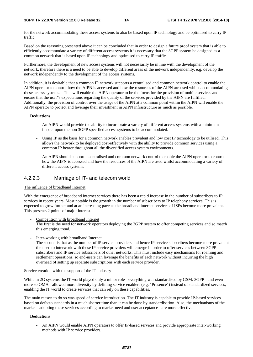for the network accommodating these access systems to also be based upon IP technology and be optimised to carry IP traffic.

Based on the reasoning presented above it can be concluded that in order to design a future proof system that is able to efficiently accommodate a variety of different access systems it is necessary that the 3GPP system be designed as a common network that is based upon IP technology and optimised to carry IP traffic.

Furthermore, the development of new access systems will not necessarily be in line with the development of the network, therefore there is a need to be able to develop different areas of the network independently, e.g. develop the network independently to the development of the access systems.

In addition, it is desirable that a common IP network supports a centralised and common network control to enable the AIPN operator to control how the AIPN is accessed and how the resources of the AIPN are used whilst accommodating these access systems. This will enable the AIPN operator to be the focus for the provision of mobile services and ensure that the user"s expectations regarding the quality of the services provided by the AIPN are fulfilled. Additionally, the provision of control over the usage of the AIPN at a common point within the AIPN will enable the AIPN operator to protect and leverage their investment in AIPN infrastructure as much as possible.

#### **Deductions**

- An AIPN would provide the ability to incorporate a variety of different access systems with a minimum impact upon the non 3GPP specified access systems to be accommodated.
- Using IP as the basis for a common network enables prevalent and low cost IP technology to be utilised. This allows the network to be deployed cost-effectively with the ability to provide common services using a common IP bearer throughout all the diversified access system environments.
- An AIPN should support a centralised and common network control to enable the AIPN operator to control how the AIPN is accessed and how the resources of the AIPN are used whilst accommodating a variety of different access systems.

### 4.2.2.3 Marriage of IT- and telecom world

#### The influence of broadband Internet

With the emergence of broadband internet services there has been a rapid increase in the number of subscribers to IP services in recent years. Most notable is the growth in the number of subscribers to IP telephony services. This is expected to grow further and at an increasing pace as the broadband internet services of ISPs become more prevalent. This presents 2 points of major interest.

Competition with broadband Internet

The first is the need for network operators deploying the 3GPP system to offer competing services and so match this emerging trend.

Inter-working with broadband Internet

The second is that as the number of IP service providers and hence IP service subscribers become more prevalent the need to interwork with these IP service providers will emerge in order to offer services between 3GPP subscribers and IP service subscribers of other networks. This must include easy mechanisms for roaming and settlement operations, so end-users can leverage the benefits of each network without incurring the high overhead of setting up separate subscriptions with each service provider.

#### Service creation with the support of the IT industry

While in 2G systems the IT world played only a minor role - everything was standardised by GSM. 3GPP - and even more so OMA - allowed more diversity by defining service enablers (e.g. "Presence") instead of standardized services, enabling the IT world to create services that can rely on these capabilities.

The main reason to do so was speed of service introduction. The IT industry is capable to provide IP-based services based on defacto standards in a much shorter time than it can be done by standardisation. Also, the mechanisms of the market - adopting these services according to market need and user acceptance - are more effective.

#### **Deductions**

- An AIPN would enable AIPN operators to offer IP-based services and provide appropriate inter-working methods with IP service providers.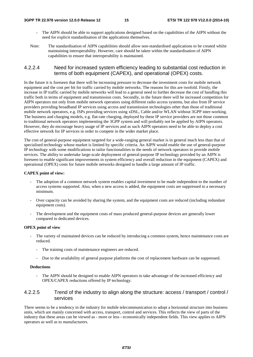- The AIPN should be able to support applications designed based on the capabilities of the AIPN without the need for explicit standardisation of the applications themselves.
- Note: The standardisation of AIPN capabilities should allow non-standardised applications to be created whilst maintaining interoperability. However, care should be taken within the standardisation of AIPN capabilities to ensure that interoperability is maintained.

### 4.2.2.4 Need for increased system efficiency leading to substantial cost reduction in terms of both equipment (CAPEX), and operational (OPEX) costs.

In the future it is foreseen that there will be increasing pressure to decrease the investment costs for mobile network equipment and the cost per bit for traffic carried by mobile networks. The reasons for this are twofold. Firstly, the increase in IP traffic carried by mobile networks will lead to a general need to further decrease the cost of handling this traffic both in terms of equipment and transmission costs. Secondly, in the future there will be increased competition for AIPN operators not only from mobile network operators using different radio access systems, but also from IP service providers providing broadband IP services using access and transmission technologies other than those of traditional mobile network operators, e.g. ISPs providing services using xDSL, Cable and/or WLAN without 3GPP inter-working. The business and charging models, e.g. flat-rate charging, deployed by these IP service providers are not those common to traditional network operators implementing the 3GPP system and will probably not be applied by AIPN operators. However, they do encourage heavy usage of IP services and as such AIPN operators need to be able to deploy a cost effective network for IP services in order to compete in the wider market place.

The cost of general-purpose equipment targeted for a wide-ranging general market is in general much less than that of specialised technology whose market is limited by specific criteria. An AIPN would enable the use of general-purpose IP technology with some modifications to tailor functionalities to the needs of network operators to provide mobile services. The ability to undertake large-scale deployment of general-purpose IP technology provided by an AIPN is foreseen to enable significant improvements in system efficiency and overall reduction in the equipment (CAPEX) and operational (OPEX) costs for future mobile networks designed to handle a large amount of IP traffic.

#### **CAPEX point of view:**

- The adoption of a common network system enables capital investment to be made independent to the number of access systems supported. Also, when a new access is added, the equipment costs are suppressed to a necessary minimum.
- Over capacity can be avoided by sharing the system, and the equipment costs are reduced (including redundant equipment costs).
- The development and the equipment costs of mass produced general-purpose devices are generally lower compared to dedicated devices.

#### **OPEX point of view**

- The variety of maintained devices can be reduced by introducing a common system, hence maintenance costs are reduced.
	- The training costs of maintenance engineers are reduced.
	- Due to the availability of general purpose platforms the cost of replacement hardware can be suppressed.

#### **Deductions**

The AIPN should be designed to enable AIPN operators to take advantage of the increased efficiency and OPEX/CAPEX reductions offered by IP technology.

### 4.2.2.5 Trend of the industry to align along the structure: access / transport / control / services

There seems to be a tendency in the industry for mobile telecommunication to adopt a horizontal structure into business units, which are mainly concerned with access, transport, control and services. This reflects the view of parts of the industry that these areas can be viewed as - more or less - economically independent fields. This view applies to AIPN operators as well as to manufacturers.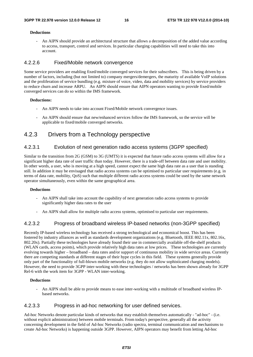#### **Deductions**

- An AIPN should provide an architectural structure that allows a decomposition of the added value according to access, transport, control and services. In particular charging capabilities will need to take this into account.

### 4.2.2.6 Fixed/Mobile network convergence

Some service providers are enabling fixed/mobile converged services for their subscribers. This is being driven by a number of factors, including (but not limited to) company mergers/demergers, the maturity of available VoIP solutions and the proliferation of service bundling (e.g. mixture of voice, video, data and mobility services) by service providers to reduce churn and increase ARPU. An AIPN should ensure that AIPN operators wanting to provide fixed/mobile converged services can do so within the IMS framework.

#### **Deductions:**

- An AIPN needs to take into account Fixed/Mobile network convergence issues.
- An AIPN should ensure that new/enhanced services follow the IMS framework, so the service will be applicable to fixed/mobile converged networks.

## 4.2.3 Drivers from a Technology perspective

### 4.2.3.1 Evolution of next generation radio access systems (3GPP specified)

Similar to the transition from 2G (GSM) to 3G (UMTS) it is expected that future radio access systems will allow for a significant higher data rate of user traffic than today. However, there is a trade-off between data rate and user mobility. In other words, a user, who is moving at a high speed, cannot expect the same high data rate as a user that is standing still. In addition it may be envisaged that radio access systems can be optimised to particular user requirements (e.g. in terms of data rate, mobility, QoS) such that multiple different radio access systems could be used by the same network operator simultaneously, even within the same geographical area.

#### **Deductions**

- An AIPN shall take into account the capability of next generation radio access systems to provide significantly higher data rates to the user
- An AIPN shall allow for multiple radio access systems, optimised to particular user requirements.

### 4.2.3.2 Progress of broadband wireless IP-based networks (non-3GPP specified)

Recently IP-based wireless technology has received a strong technological and economical boost. This has been fostered by industry alliances as well as standards development organizations (e.g. Bluetooth, IEEE 802.11x, 802.16x, 802.20x). Partially these technologies have already found their use in commercially available off-the-shelf products (WLAN cards, access points), which provide relatively high data rates at low prices. These technologies are currently evolving towards higher – broadband – data rates and/or support of continuous mobility in wide service areas. Currently there are competing standards at different stages of their hype cycles in this field. These systems generally provide only part of the functionality of full-blown mobile networks (e.g. they do not allow sophisticated charging models). However, the need to provide 3GPP inter-working with these technologies / networks has been shown already for 3GPP Rel-6 with the work item for 3GPP - WLAN inter-working.

#### **Deductions**

- An AIPN shall be able to provide means to ease inter-working with a multitude of broadband wireless IPbased networks.

### 4.2.3.3 Progress in ad-hoc networking for user defined services.

Ad-hoc Networks denote particular kinds of networks that may establish themselves automatically - "ad-hoc" - (i.e. without explicit administration) between mobile terminals. From today's perspective, generally all the activity concerning development in the field of Ad-hoc Networks (radio spectra, terminal communication and mechanisms to create Ad-hoc Networks) is happening outside 3GPP. However, AIPN operators may benefit from letting Ad-hoc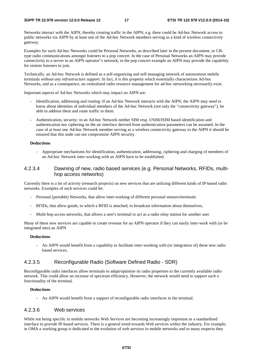Networks interact with the AIPN, thereby creating traffic in the AIPN; e.g. there could be Ad-hoc Network access to public networks via AIPN by at least one of the Ad-hoc Network members serving as a kind of wireless connectivity gateway.

Examples for such Ad-hoc Networks could be Personal Networks, as described later in the present document, or CBtype radio communications amongst listeners to a pop concert. In the case of Personal Networks an AIPN may provide connectivity to a server in an AIPN operator"s network, in the pop concert example an AIPN may provide the capability for remote listeners to join.

Technically, an Ad-hoc Network is defined as a self-organizing and self-managing network of autonomous mobile terminals *without any infrastructure support*. In fact, it is this property which essentially characterizes Ad-hoc Networks, and as a consequence, no centralized radio resource management for ad-hoc networking necessarily exist.

Important aspects of Ad-hoc Networks which may impact an AIPN are:

- Identification, addressing and routing: If an Ad-hoc Network interacts with the AIPN, the AIPN may need to know about identities of individual members of the Ad-hoc Network (not only the "connectivity gateway"), be able to address them and route traffic to them.
- Authentication, security: in an Ad-hoc Network neither SIM resp. USIM/ISIM based identification and authentication nor ciphering on the air interface derived from authentication parameters can be assumed. In the case of at least one Ad-hoc Network member serving as a wireless connectivity gateway to the AIPN it should be ensured that this node can not compromise AIPN security.

#### **Deductions**

- Appropriate mechanisms for identification, authentication, addressing, ciphering and charging of members of an Ad-hoc Network inter-working with an AIPN have to be established.

### 4.2.3.4 Dawning of new, radio based services (e.g. Personal Networks, RFIDs, multihop access networks)

Currently there is a lot of activity (research projects) on new services that are utilizing different kinds of IP-based radio networks. Examples of such services could be:

- Personal (portable) Networks, that allow inter-working of different personal sensors/terminals
- RFIDs, that allow goods, to which a RFID is attached, to broadcast information about themselves,
- Multi-hop access networks, that allows a user's terminal to act as a radio relay station for another user

Many of these new services are capable to create revenue for an AIPN operator if they can easily inter-work with (or be integrated into) an AIPN

#### **Deductions**

- An AIPN would benefit from a capability to facilitate inter-working with (or integration of) these new radio based services.

### 4.2.3.5 Reconfigurable Radio (Software Defined Radio - SDR)

Reconfigurable radio interfaces allow terminals to adapt/optimise its radio properties to the currently available radio network. This could allow an increase of spectrum efficiency. However, the network would need to support such a functionality of the terminal.

#### **Deductions**

- An AIPN would benefit from a support of reconfigurable radio interfaces in the terminal.

### 4.2.3.6 Web services

While not being specific to mobile networks Web Services are becoming increasingly important as a standardised interface to provide IP-based services. There is a general trend towards Web services within the industry. For example, in OMA a working group is dedicated to the evolution of web services in mobile networks and in many respects they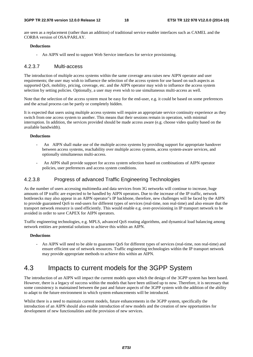are seen as a replacement (rather than an addition) of traditional service enabler interfaces such as CAMEL and the CORBA version of OSA/PARLAY.

#### **Deductions**

- An AIPN will need to support Web Service interfaces for service provisioning.

### 4.2.3.7 Multi-access

The introduction of multiple access systems within the same coverage area raises new AIPN operator and user requirements; the user may wish to influence the selection of the access system for use based on such aspects as supported QoS, mobility, pricing, coverage, etc. and the AIPN operator may wish to influence the access system selection by setting policies. Optionally, a user may even wish to use simultaneous multi-access as well.

Note that the selection of the access system must be easy for the end-user, e.g. it could be based on some preferences and the actual process can be partly or completely hidden.

It is expected that users using multiple access systems will require an appropriate service continuity experience as they switch from one access system to another. This means that their sessions remain in operation, with minimal interruption. In addition, the services provided should be made access aware (e.g. choose video quality based on the available bandwidth).

#### **Deductions**

- An AIPN shall make use of the multiple access systems by providing support for appropriate handover between access systems, reachability over multiple access systems, access system-aware services, and optionally simultaneous multi-access.
- An AIPN shall provide support for access system selection based on combinations of AIPN operator policies, user preferences and access system conditions.

### 4.2.3.8 Progress of advanced Traffic Engineering Technologies

As the number of users accessing multimedia and data services from 3G networks will continue to increase, huge amounts of IP traffic are expected to be handled by AIPN operators. Due to the increase of the IP traffic, network bottlenecks may also appear in an AIPN operator"s IP backbone, therefore, new challenges will be faced by the AIPN to provide guaranteed QoS to end-users for different types of services (real-time, non real-time) and also ensure that the transport network resource is used efficiently. This would enable e.g. over-provisioning in IP transport network to be avoided in order to save CAPEX for AIPN operators.

Traffic engineering technologies, e.g. MPLS, advanced QoS routing algorithms, and dynamical load balancing among network entities are potential solutions to achieve this within an AIPN.

#### **Deductions**

- An AIPN will need to be able to guarantee QoS for different types of services (real-time, non real-time) and ensure efficient use of network resources. Traffic engineering technologies within the IP transport network may provide appropriate methods to achieve this within an AIPN.

## 4.3 Impacts to current models for the 3GPP System

The introduction of an AIPN will impact the current models upon which the design of the 3GPP system has been based. However, there is a legacy of success within the models that have been utilised up to now. Therefore, it is necessary that some consistency is maintained between the past and future aspects of the 3GPP system with the addition of the ability to adapt to the future environment in which system enhancements will be introduced.

Whilst there is a need to maintain current models, future enhancements in the 3GPP system, specifically the introduction of an AIPN should also enable introduction of new models and the creation of new opportunities for development of new functionalities and the provision of new services.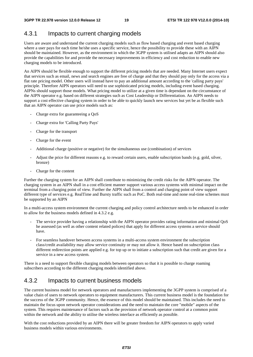## 4.3.1 Impacts to current charging models

Users are aware and understand the current charging models such as flow based charging and event based charging where a user pays for each time he/she uses a specific service, hence the possibility to provide these with an AIPN should be maintained. However, as the environment in which the 3GPP system is utilised adapts an AIPN should also provide the capabilities for and provide the necessary improvements in efficiency and cost reduction to enable new charging models to be introduced.

An AIPN should be flexible enough to support the different pricing models that are needed. Many Internet users expect that services such as email, news and search engines are free of charge and that they should pay only for the access via a flat rate pricing model. Other users will instead have to pay an additional amount according to the 'calling party pays' principle. Therefore AIPN operators will need to use sophisticated pricing models, including event based charging. AIPNs should support those models. What pricing model to utilize at a given time is dependant on the circumstance of the AIPN operator e.g. based on different strategies such as Cost Leadership or Differentiation. An AIPN needs to support a cost effective charging system in order to be able to quickly launch new services but yet be as flexible such that an AIPN operator can use price models such as:

- Charge extra for guaranteeing a OoS
- Charge extra for 'Calling Party Pays'
- Charge for the transport
- Charge for the event
- Additional charge (positive or negative) for the simultaneous use (combination) of services
- Adjust the price for different reasons e.g. to reward certain users, enable subscription bands (e.g. gold, silver, bronze)
- Charge for the content

Further the charging system for an AIPN shall contribute to minimizing the credit risks for the AIPN operator. The charging system in an AIPN shall in a cost efficient manner support various access systems with minimal impact on the terminal from a charging point of view. Further the AIPN shall from a control and charging point of view support different type of services e.g. RealTime and Bursty traffic such as PoC. Both real-time and none real-time schemes must be supported by an AIPN

In a multi-access system environment the current charging and policy control architecture needs to be enhanced in order to allow for the business models defined in 4.3.2 e.g.

- The service provider having a relationship with the AIPN operator provides rating information and minimal QoS he assessed (as well as other content related polices) that apply for different access systems a service should have.
- For seamless handover between access systems in a multi-access system environment the subscription class/credit availability may allow service continuity or may not allow it. Hence based on subscription class different redirection points are applied e.g. for top up or to initiate a subscription such that credit are given for a service in a new access system.

There is a need to support flexible charging models between operators so that it is possible to charge roaming subscribers according to the different charging models identified above.

## 4.3.2 Impacts to current business models

The current business model for network operators and manufacturers implementing the 3GPP system is comprised of a value chain of users to network operators to equipment manufacturers. This current business model is the foundation for the success of the 3GPP community. Hence, the essence of this model should be maintained. This includes the need to maintain the focus upon network operator considerations and the need to maintain the core "mobile" aspects of the system. This requires maintenance of factors such as the provision of network operator control at a common point within the network and the ability to utilise the wireless interface as efficiently as possible.

With the cost reductions provided by an AIPN there will be greater freedom for AIPN operators to apply varied business models within various environments.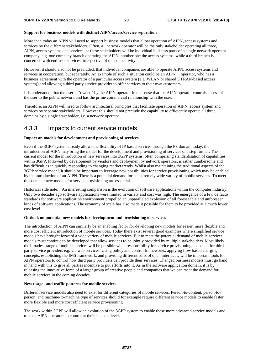#### **Support for business models with distinct AIPN/access/service separation**

More than today an AIPN will need to support business models that allow operation of AIPN, access systems and services by the different stakeholders. Often, a network operator will be the only stakeholder operating all three, AIPN, access systems and services, or these stakeholders will be individual business parts of a single network operator company, e.g. one company branch operating the AIPN, another one the access systems, while a third branch is concerned with end-user services, irrespective of the connectivity.

However, it should also not be precluded, that individual companies are able to operate AIPN, access systems and services in cooperation, but separately. An example of such a situation could be an AIPN operator, who has a business agreement with the operator of a particular access system (e.g. WLAN or shared UTRAN-based access system)) and allowing a third party service provider to offer services to their own customers.

It is understood, that the user is "owned" by the AIPN operator in the sense that the AIPN operator controls access of the user to the public network and has the prime commercial relationship with the user.

Therefore, an AIPN will need to follow architectural principles that facilitate operation of AIPN, access system and services by separate stakeholders. However this should not preclude the capability to efficiently operate all three domains by a single stakeholder, i.e. a network operator.

## 4.3.3 Impacts to current service models

#### **Impact on models for development and provisioning of services**

Even if the 3GPP system already allows the flexibility of IP based services through the PS domain today, the introduction of AIPN may bring the model for the development and provisioning of services one step further. The current model for the introduction of new services into 3GPP systems, often comprising standardisation of capabilities within 3GPP, followed by development by vendors and deployment by network operators, is rather cumbersome and has difficulties in quickly responding to changing market trends. Whilst also maintaining the traditional aspects of the 3GPP service model, it should be important to leverage new possibilities for service provisioning which may be enabled by the introduction of an AIPN. There is a potential demand for an extremely wide variety of mobile services. To meet this demand new models for service provisioning are essential.

Historical side note: An interesting comparison is the evolution of software applications within the computer industry. Only two decades ago software applications were limited in variety and cost was high. The emergence of a few de facto standards for software application environment propelled an unparalleled explosion of all foreseeable and unforeseen kinds of software applications. The economy of scale has also made it possible for them to be provided at a much lower cost level.

#### **Outlook on potential new models for development and provisioning of services**

The introduction of AIPN can similarly be an enabling factor for developing new models for easier, more flexible and more cost efficient introduction of mobile services. Today there exist several good examples where simplified service models have brought forward a wide variety of mobile services. But to meet the potential demand of mobile services, models must continue to be developed that allow services to be jointly provided by multiple stakeholders. Most likely the broadest range of mobile services will be possible when responsibility for service provisioning is opened for third party service providers e.g. via web services. Using policy and control frameworks, applying flow based charging concepts, establishing the IMS framework, and providing different sorts of open interfaces, will be important tools for AIPN operators to control how third party providers can provide their services. Changed business models must go hand in hand with this to give all parties incentive to put efforts into it. As in the software application domain, it is by releasing the innovative force of a larger group of creative people and companies that we can meet the demand for mobile services in the coming decades.

#### **New usage- and traffic patterns for mobile services**

Different service models also need to exist for different categories of mobile services. Person-to-content, person-toperson, and machine-to-machine type of services should for example require different service models to enable faster, more flexible and more cost efficient service provisioning.

The work within 3GPP will allow an evolution of the 3GPP system to enable these more advanced service models and to keep AIPN operators in control at their selected level.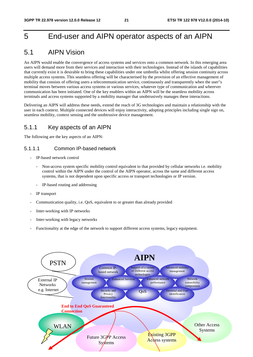## 5 End-user and AIPN operator aspects of an AIPN

## 5.1 AIPN Vision

An AIPN would enable the convergence of access systems and services onto a common network. In this emerging area users will demand more from their services and interaction with their technologies. Instead of the islands of capabilities that currently exist it is desirable to bring these capabilities under one umbrella whilst offering session continuity across multiple access systems. This seamless offering will be characterised by the provision of an effective management of mobility that consists of offering users a telecommunication service, continuously and transparently when the user"s terminal moves between various access systems or various services, whatever type of communication and wherever communication has been initiated. One of the key enablers within an AIPN will be the seamless mobility across terminals and access systems supported by a mobility manager that unobtrusively manages these interactions.

Delivering an AIPN will address these needs, extend the reach of 3G technologies and maintain a relationship with the user in each context. Multiple connected devices will enjoy interactivity, adopting principles including single sign on, seamless mobility, context sensing and the unobtrusive device management.

## 5.1.1 Key aspects of an AIPN

The following are the key aspects of an AIPN:

### 5.1.1.1 Common IP-based network

- IP-based network control
	- Non-access system specific mobility control equivalent to that provided by cellular networks i.e. mobility control within the AIPN under the control of the AIPN operator, across the same and different access systems, that is not dependent upon specific access or transport technologies or IP version.
	- IP-based routing and addressing
- IP transport
- Communication quality, i.e. QoS, equivalent to or greater than already provided
- Inter-working with IP networks
- Inter-working with legacy networks
- Functionality at the edge of the network to support different access systems, legacy equipment.

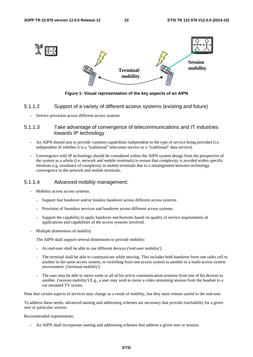

**Figure 1: Visual representation of the key aspects of an AIPN** 

### 5.1.1.2 Support of a variety of different access systems (existing and future)

Service provision across different access systems

### 5.1.1.3 Take advantage of convergence of telecommunications and IT industries towards IP technology

- An AIPN should aim to provide common capabilities independent to the type of service being provided (i.e. independent of whether it is a "traditional" telecomm service or a "traditional" data service).
- Convergence with IP technology should be considered within the AIPN system design from the perspective of the system as a whole (i.e. network and mobile terminals) to ensure that complexity is avoided within specific elements e.g. avoidance of complexity in mobile terminals due to a misalignment between technology convergence in the network and mobile terminals.

### 5.1.1.4 Advanced mobility management:

- Mobility across access systems.
	- Support fast handover and/or lossless handover across different access systems
	- Provision of Seamless services and handover across different access systems.
	- Support the capability to apply handover mechanisms based on quality of service requirements of applications and capabilities of the access systems involved.
- Multiple dimensions of mobility

The AIPN shall support several dimensions to provide mobility:

- An end-user shall be able to use different devices ('end-user mobility').
- The terminal shall be able to communicate while moving. This includes both handover from one radio cell to another in the same access system, or switching from one access system to another in a multi-access system environment. ('terminal mobility').
- The user may be able to move some or all of his active communication sessions from one of his devices to another. ('session mobility') E.g., a user may wish to move a video streaming session from the handset to a car mounted TV screen.

Note that certain aspects of services may change as a result of mobility, but they must remain useful to the end-user.

To address these needs, advanced naming and addressing schemes are necessary that provide reachability for a given user or particular session.

#### Recommended requirements:

- An AIPN shall incorporate naming and addressing schemes that address a given user or session.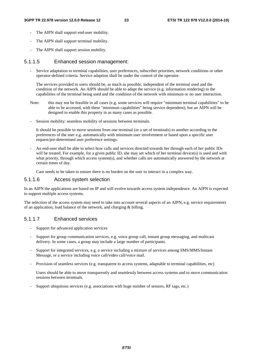- The AIPN shall support end-user mobility.
- The AIPN shall support terminal mobility.
- The AIPN shall support session mobility.

#### 5.1.1.5 Enhanced session management:

- Service adaptation to terminal capabilities, user preferences, subscriber priorities, network conditions or other operator-defined criteria. Service adaption shall be under the control of the operator.

The services provided to users should be, as much as possible, independent of the terminal used and the condition of the network. An AIPN should be able to adapt the service (e.g. information rendering) to the capabilities of the terminal being used and the condition of the network with minimum or no user interaction.

- Note: this may not be feasible in all cases (e.g. some services will require "minimum terminal capabilities" to be able to be accessed, with these "minimum capabilities" being service dependent), but an AIPN will be designed to enable this property in as many cases as possible.
- Session mobility: seamless mobility of sessions between terminals.

It should be possible to move sessions from one terminal (or a set of terminals) to another according to the preferences of the user e.g. automatically with minimum user involvement or based upon a specific user request/pre-determined user preference settings.

- An end-user shall be able to select how calls and services directed towards her through each of her public IDs will be treated. For example, for a given public ID, she may set which of her terminal device(s) is used and with what priority, through which access system(s), and whether calls are automatically answered by the network at certain times of day.

Care needs to be taken to ensure there is no burden on the user to interact in a complex way.

### 5.1.1.6 Access system selection

In an AIPN the applications are based on IP and will evolve towards access system independence. An AIPN is expected to support multiple access systems.

The selection of the access system may need to take into account several aspects of an AIPN, e.g. service requirements of an application, load balance of the network, and charging & billing.

### 5.1.1.7 Enhanced services

- Support for advanced application services
- Support for group communication services, e.g. voice group call, instant group messaging, and multicast delivery. In some cases, a group may include a large number of participants.
- Support for integrated services, e.g. a service including a mixture of services among SMS/MMS/Instant Message, or a service including voice call/video call/voice mail.
- Provision of seamless services (e.g. transparent to access systems, adaptable to terminal capabilities, etc)

 Users should be able to move transparently and seamlessly between access systems and to move communication sessions between terminals.

- Support ubiquitous services (e.g. associations with huge number of sensors, RF tags, etc.)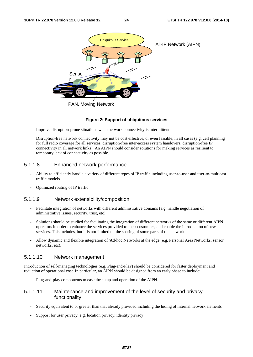

#### **Figure 2: Support of ubiquitous services**

Improve disruption-prone situations when network connectivity is intermittent.

Disruption-free network connectivity may not be cost effective, or even feasible, in all cases (e.g. cell planning for full radio coverage for all services, disruption-free inter-access system handovers, disruption-free IP connectivity in all network links). An AIPN should consider solutions for making services as resilient to temporary lack of connectivity as possible.

### 5.1.1.8 Enhanced network performance

- Ability to efficiently handle a variety of different types of IP traffic including user-to-user and user-to-multicast traffic models
- Optimized routing of IP traffic

### 5.1.1.9 Network extensibility/composition

- Facilitate integration of networks with different administrative domains (e.g. handle negotiation of administrative issues, security, trust, etc).
- Solutions should be studied for facilitating the integration of different networks of the same or different AIPN operators in order to enhance the services provided to their customers, and enable the introduction of new services. This includes, but it is not limited to, the sharing of some parts of the network.
- Allow dynamic and flexible integration of 'Ad-hoc Networks at the edge (e.g. Personal Area Networks, sensor networks, etc).

#### 5.1.1.10 Network management

Introduction of self-managing technologies (e.g. Plug-and-Play) should be considered for faster deployment and reduction of operational cost. In particular, an AIPN should be designed from an early phase to include:

- Plug-and-play components to ease the setup and operation of the AIPN.

### 5.1.1.11 Maintenance and improvement of the level of security and privacy functionality

- Security equivalent to or greater than that already provided including the hiding of internal network elements
- Support for user privacy, e.g. location privacy, identity privacy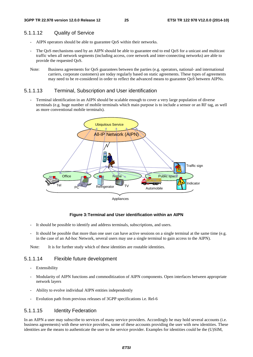### 5.1.1.12 Quality of Service

- AIPN operators should be able to guarantee QoS within their networks.
- The QoS mechanisms used by an AIPN should be able to guarantee end to end QoS for a unicast and multicast traffic when all network segments (including access, core network and inter-connecting networks) are able to provide the requested QoS.
- Note: Business agreements for QoS guarantees between the parties (e.g. operators, national- and international carriers, corporate customers) are today regularly based on static agreements. These types of agreements may need to be re-considered in order to reflect the advanced means to guarantee QoS between AIPNs.

### 5.1.1.13 Terminal, Subscription and User identification

Terminal identification in an AIPN should be scalable enough to cover a very large population of diverse terminals (e.g. huge number of mobile terminals which main purpose is to include a sensor or an RF tag, as well as more conventional mobile terminals).



#### **Figure 3: Terminal and User identification within an AIPN**

- It should be possible to identify and address terminals, subscriptions, and users.
- It should be possible that more than one user can have active sessions on a single terminal at the same time (e.g. in the case of an Ad-hoc Network, several users may use a single terminal to gain access to the AIPN).

Note: It is for further study which of these identities are routable identities.

### 5.1.1.14 Flexible future development

- Extensibility
- Modularity of AIPN functions and commoditization of AIPN components. Open interfaces between appropriate network layers
- Ability to evolve individual AIPN entities independently
- Evolution path from previous releases of 3GPP specifications i.e. Rel-6

### 5.1.1.15 Identity Federation

In an AIPN a user may subscribe to services of many service providers. Accordingly he may hold several accounts (i.e. business agreements) with these service providers, some of these accounts providing the user with new identities. These identities are the means to authenticate the user to the service provider. Examples for identities could be the (U)SIM,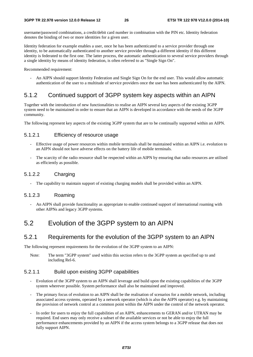username/password combinations, a credit/debit card number in combination with the PIN etc. Identity federation denotes the binding of two or more identities for a given user.

Identity federation for example enables a user, once he has been authenticated to a service provider through one identity, to be automatically authenticated to another service provider through a different identity if this different identity is federated to the first one. The latter process, the automatic authentication to several service providers through a single identity by means of identity federation, is often referred to as "Single Sign On".

Recommended requirement:

- An AIPN should support Identity Federation and Single Sign On for the end user. This would allow automatic authentication of the user to a multitude of service providers once the user has been authenticated by the AIPN.

## 5.1.2 Continued support of 3GPP system key aspects within an AIPN

Together with the introduction of new functionalities to realise an AIPN several key aspects of the existing 3GPP system need to be maintained in order to ensure that an AIPN is developed in accordance with the needs of the 3GPP community.

The following represent key aspects of the existing 3GPP system that are to be continually supported within an AIPN.

## 5.1.2.1 Efficiency of resource usage

- Effective usage of power resources within mobile terminals shall be maintained within an AIPN i.e. evolution to an AIPN should not have adverse effects on the battery life of mobile terminals.
- The scarcity of the radio resource shall be respected within an AIPN by ensuring that radio resources are utilised as efficiently as possible.

## 5.1.2.2 Charging

The capability to maintain support of existing charging models shall be provided within an AIPN.

### 5.1.2.3 Roaming

- An AIPN shall provide functionality as appropriate to enable continued support of international roaming with other AIPNs and legacy 3GPP systems.

## 5.2 Evolution of the 3GPP system to an AIPN

## 5.2.1 Requirements for the evolution of the 3GPP system to an AIPN

The following represent requirements for the evolution of the 3GPP system to an AIPN:

Note: The term "3GPP system" used within this section refers to the 3GPP system as specified up to and including Rel-6.

### 5.2.1.1 Build upon existing 3GPP capabilities

- Evolution of the 3GPP system to an AIPN shall leverage and build upon the existing capabilities of the 3GPP system wherever possible. System performance shall also be maintained and improved.
- The primary focus of evolution to an AIPN shall be the realisation of scenarios for a mobile network, including associated access systems, operated by a network operator (which is also the AIPN operator) e.g. by maintaining the provision of network control at a common point within the AIPN under the control of the network operator.
- In order for users to enjoy the full capabilities of an AIPN, enhancements to GERAN and/or UTRAN may be required. End users may only receive a subset of the available services or not be able to enjoy the full performance enhancements provided by an AIPN if the access system belongs to a 3GPP release that does not fully support AIPN.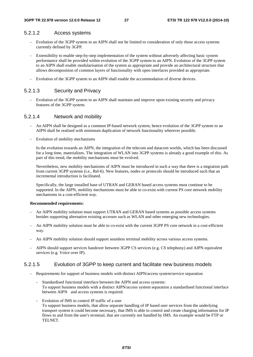### 5.2.1.2 Access systems

- Evolution of the 3GPP system to an AIPN shall not be limited to consideration of only those access systems currently defined by 3GPP.
- Extensibility to enable step-by-step implementation of the system without adversely affecting basic system performance shall be provided within evolution of the 3GPP system to an AIPN. Evolution of the 3GPP system to an AIPN shall enable modularisation of the system as appropriate and provide an architectural structure that allows decomposition of common layers of functionality with open interfaces provided as appropriate.
- Evolution of the 3GPP system to an AIPN shall enable the accommodation of diverse devices.

### 5.2.1.3 Security and Privacy

- Evolution of the 3GPP system to an AIPN shall maintain and improve upon existing security and privacy features of the 3GPP system.

### 5.2.1.4 Network and mobility

- An AIPN shall be designed as a common IP-based network system, hence evolution of the 3GPP system to an AIPN shall be realised with minimum duplication of network functionality wherever possible.
- Evolution of mobility mechanisms

 In the evolution towards an AIPN, the integration of the telecom and datacom worlds, which has been discussed for a long time, materializes. The integration of WLAN into 3GPP systems is already a good example of this. As part of this trend, the mobility mechanisms must be evolved.

 Nevertheless, new mobility mechanisms of AIPN must be introduced in such a way that there is a migration path from current 3GPP systems (i.e., Rel-6). New features, nodes or protocols should be introduced such that an incremental introduction is facilitated.

 Specifically, the large installed base of UTRAN and GERAN based access systems must continue to be supported. In the AIPN, mobility mechanisms must be able to co-exist with current PS core network mobility mechanisms in a cost-efficient way.

#### **Recommended requirements:**

- An AIPN mobility solution must support UTRAN and GERAN based systems as possible access systems besides supporting alternative existing accesses such as WLAN and other emerging new technologies.
- An AIPN mobility solution must be able to co-exist with the current 3GPP PS core network in a cost-efficient way.
- An AIPN mobility solution should support seamless terminal mobility across various access systems.
- AIPN should support services handover between 3GPP CS services (e.g. CS telephony) and AIPN equivalent services (e.g. Voice over IP).

### 5.2.1.5 Evolution of 3GPP to keep current and facilitate new business models

- Requirements for support of business models with distinct AIPN/access system/service separation
	- Standardised functional interface between the AIPN and access systems: To support business models with a distinct AIPN/access system separation a standardised functional interface between AIPN and access systems is required.
	- Evolution of IMS to control IP traffic of a user To support business models, that allow separate handling of IP based user services from the underlying transport system it could become necessary, that IMS is able to control and create charging information for IP flows to and from the user's terminal, that are currently not handled by IMS. An example would be FTP or TELNET.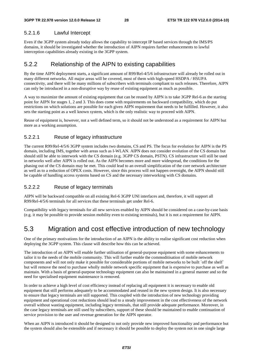### 5.2.1.6 Lawful Intercept

Even if the 3GPP system already today allows the capability to intercept IP based services through the IMS/PS domains, it should be investigated whether the introduction of AIPN requires further enhancements to lawful interception capabilities already existing in the 3GPP system.

## 5.2.2 Relationship of the AIPN to existing capabilities

By the time AIPN deployment starts, a significant amount of R99/Rel-4/5/6 infrastructure will already be rolled out in many different networks. All major areas will be covered, most of them with high-speed HSDPA / HSUPA connectivity, and there will be many millions of subscribers with terminals compliant to such releases. Therefore, AIPN can only be introduced in a non-disruptive way by reuse of existing equipment as much as possible.

A way to maximize the amount of existing equipment that can be reused by AIPN is to take 3GPP Rel-6 as the starting point for AIPN for stages 1, 2 and 3. This does come with requirements on backward compatibility, which do put restrictions on which solutions are possible for each given AIPN requirement that needs to be fulfilled. However, it also sets the starting point as a well known system, which is the only realistic way to proceed with AIPN.

Reuse of equipment is, however, not a well defined term, so it should not be understood as a requirement for AIPN but more as a working assumption.

## 5.2.2.1 Reuse of legacy infrastructure

The current R99/Rel-4/5/6 3GPP system includes two domains, CS and PS. The focus for evolution for AIPN is the PS domain, including IMS, together with areas such as I-WLAN. AIPN does not consider evolution of the CS domain but should still be able to interwork with the CS domain (e.g. 3GPP CS domain, PSTN). CS infrastructure will still be used in networks well after AIPN is rolled out. As the AIPN becomes more and more widespread, the conditions for the phasing out of the CS domain may be met. This could lead to an overall simplification of the core network architecture as well as to a reduction of OPEX costs. However, since this process will not happen overnight, the AIPN should still be capable of handling access systems based on CS and the necessary interworking with CS domains.

## 5.2.2.2 Reuse of legacy terminals

AIPN will be backward compatible on all existing Rel-6 3GPP UNI interfaces and, therefore, it will support all R99/Rel-4/5/6 terminals for all services that these terminals get under Rel-6.

Compatibility with legacy terminals for all new services enabled by AIPN should be considered on a case-by-case basis (e.g. it may be possible to provide session mobility even to existing terminals), but it is not a requirement for AIPN.

## 5.3 Migration and cost effective introduction of new technology

One of the primary motivations for the introduction of an AIPN is the ability to realise significant cost reduction when deploying the 3GPP system. This clause will describe how this can be achieved.

The introduction of an AIPN will enable further utilisation of general-purpose equipment with some enhancements to tailor it to the needs of the mobile community. This will further enable the commoditisation of mobile network components and will not only make it possible for considerable portions of mobile networks to be built `off the shelf` but will remove the need to purchase wholly mobile network specific equipment that is expensive to purchase as well as maintain. With a basis of general-purpose technology equipment can also be maintained in a general manner and so the need for specialised equipment maintenance is removed.

In order to achieve a high level of cost efficiency instead of replacing all equipment it is necessary to enable old equipment that still performs adequately to be accommodated and reused in the new system design. It is also necessary to ensure that legacy terminals are still supported. This coupled with the introduction of new technology providing equipment and operational cost reductions should lead to a steady improvement in the cost effectiveness of the network overall without wasting equipment, including legacy terminals, that still provide adequate performance. Moreover, in the case legacy terminals are still used by subscribers, support of these should be maintained to enable continuation of service provision to the user and revenue generation for the AIPN operator.

When an AIPN is introduced it should be designed to not only provide new improved functionality and performance but the system should also be extensible and if necessary it should be possible to deploy the system not in one single large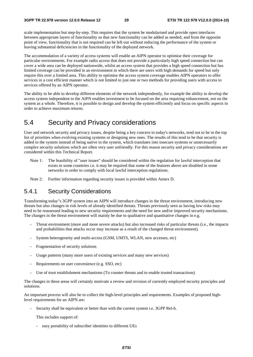scale implementation but step-by-step. This requires that the system be modularised and provide open interfaces between appropriate layers of functionality so that new functionality can be added as needed, and from the opposite point of view, functionality that is not required can be left out without reducing the performance of the system or leaving substantial deficiencies in the functionality of the deployed network.

The accommodation of a variety of access systems will enable an AIPN operator to optimise their coverage for particular environments. For example radio access that does not provide a particularly high speed connection but can cover a wide area can be deployed nationwide, whilst an access system that provides a high speed connection but has limited coverage can be provided in an environment in which there are users with high demands for speed but only require this over a limited area. This ability to optimise the access system coverage enables AIPN operators to offer services in a cost efficient manner which is not limited to just one or two methods for providing users with access to services offered by an AIPN operator.

The ability to be able to develop different elements of the network independently, for example the ability to develop the access system independent to the AIPN enables investment to be focused on the area requiring enhancement, not on the system as a whole. Therefore, it is possible to design and develop the system efficiently and focus on specific aspects in order to achieve maximum returns.

## 5.4 Security and Privacy considerations

User and network security and privacy issues, despite being a key concern in today's networks, tend not to be in the top list of priorities when evolving existing systems or designing new ones. The results of this tend to be that security is added to the system instead of being native in the system, which translates into insecure systems or unnecessarily complex security solutions which are often very user unfriendly. For this reason security and privacy considerations are considered within this Technical Report.

- Note 1: The feasibility of "user issues" should be considered within the regulation for lawful interception that exists in some countries i.e. it may be required that some of the features above are disabled in some networks in order to comply with local lawful interception regulations.
- Note 2: Further information regarding security issues is provided within Annex D.

## 5.4.1 Security Considerations

Transforming today"s 3GPP system into an AIPN will introduce changes in the threat environment, introducing new threats but also changes in risk levels of already identified threats. Threats previously seen as having low risks may need to be reassessed leading to new security requirements and the need for new and/or improved security mechanisms. The changes in the threat environment will mainly be due to qualitative and quantitative changes in e.g.

- Threat environment (more and more severe attacks) but also increased risks of particular threats (i.e., the impacts and probabilities that attacks occur may increase as a result of the changed threat environment).
- System heterogeneity and multi-access (GSM, UMTS, WLAN, new accesses, etc)
- Fragmentation of security solutions
- Usage patterns (many more users of existing services and many new services)
- Requirements on user convenience (e.g. SSO, etc)
- Use of trust establishment mechanisms (To counter threats and to enable trusted transactions)

The changes in these areas will certainly motivate a review and revision of currently employed security principles and solutions.

An important process will also be to collect the high-level principles and requirements. Examples of proposed highlevel requirements for an AIPN are:

Security shall be equivalent or better than with the current system i.e. 3GPP Rel-6.

This includes support of:

- easy portability of subscriber identities to different UEs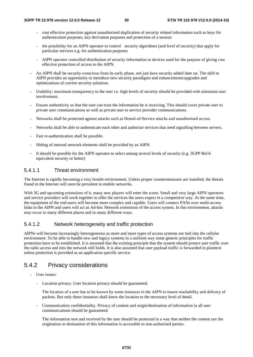- cost effective protection against unauthorized duplication of security related information such as keys for authentication purposes, key derivation purposes and protection of a session
- the possibility for an AIPN operator to control security algorithms (and level of security) that apply for particular services e.g. for authentication purposes
- AIPN operator controlled distribution of security information to devices used for the purpose of giving cost effective protection of access to the AIPN.
- An AIPN shall be security-conscious from its early phase, not just have security added later on. The shift to AIPN provides an opportunity to introduce new security paradigms and enhancements/upgrades and optimizations of current security solutions.
- Usability: maximum transparency to the user i.e. high levels of security should be provided with minimum user involvement.
- Ensure authenticity so that the user can trust the information he is receiving. This should cover private user to private user communications as well as private user to service provider communications.
- Networks shall be protected against attacks such as Denial-of-Service attacks and unauthorised access.
- Networks shall be able to authenticate each other and authorize services that need signalling between servers.
- Fast re-authentication shall be possible.
- Hiding of internal network elements shall be provided by an AIPN.
- It should be possible for the AIPN operator to select among several levels of security (e.g. 3GPP Rel-6 equivalent security or better)

## 5.4.1.1 Threat environment

The Internet is rapidly becoming a very hostile environment. Unless proper countermeasures are installed, the threats found in the Internet will soon be prevalent in mobile networks.

With 3G and upcoming extensions of it, many new players will enter the scene. Small and very large AIPN operators and service providers will work together to offer the services the users expect in a competitive way. At the same time, the equipment of the end-users will become more complex and capable. Users will connect PANs over multi-access links to the AIPN and users will act as Ad-hoc Network extensions of the access system. In this environment, attacks may occur in many different places and in many different ways.

## 5.4.1.2 Network heterogeneity and traffic protection

AIPNs will become increasingly heterogeneous as more and more types of access systems are tied into the cellular environment. To be able to handle new and legacy systems in a uniform way some generic principles for traffic protection have to be established. It is assumed that the existing principle that the system should protect user traffic over the radio access and into the network still holds. It is also assumed that user payload traffic is forwarded in plaintext unless protection is provided as an application specific service.

## 5.4.2 Privacy considerations

- User issues:
	- Location privacy. User location privacy should be guaranteed.

 The location of a user has to be known by some instances in the AIPN to insure reachability and delivery of packets. But only these instances shall know the location to the necessary level of detail.

- Communication confidentiality. Privacy of content and origin/destination of information in all user communications should be guaranteed.

 The information sent and received by the user should be protected in a way that neither the content nor the origination or destination of this information is accessible to non-authorised parties.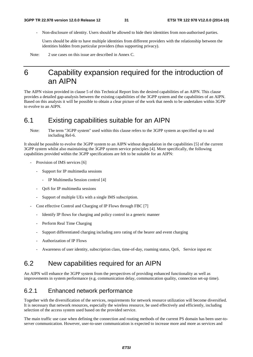- Non-disclosure of identity. Users should be allowed to hide their identities from non-authorised parties.

 Users should be able to have multiple identities from different providers with the relationship between the identities hidden from particular providers (thus supporting privacy).

Note: 2 use cases on this issue are described in Annex C.

## 6 Capability expansion required for the introduction of an AIPN

The AIPN vision provided in clause 5 of this Technical Report lists the desired capabilities of an AIPN. This clause provides a detailed gap-analysis between the existing capabilities of the 3GPP system and the capabilities of an AIPN. Based on this analysis it will be possible to obtain a clear picture of the work that needs to be undertaken within 3GPP to evolve to an AIPN.

## 6.1 Existing capabilities suitable for an AIPN

Note: The term "3GPP system" used within this clause refers to the 3GPP system as specified up to and including Rel-6.

It should be possible to evolve the 3GPP system to an AIPN without degradation in the capabilities [5] of the current 3GPP system whilst also maintaining the 3GPP system service principles [4]. More specifically, the following capabilities provided within the 3GPP specifications are felt to be suitable for an AIPN:

- Provision of IMS services [6]
	- Support for IP multimedia sessions
		- IP Multimedia Session control [4]
	- QoS for IP multimedia sessions
	- Support of multiple UEs with a single IMS subscription.
- Cost effective Control and Charging of IP Flows through FBC [7]
	- Identify IP flows for charging and policy control in a generic manner
	- Perform Real Time Charging
	- Support differentiated charging including zero rating of the bearer and event charging
	- Authorization of IP Flows
	- Awareness of user identity, subscription class, time-of-day, roaming status, QoS, Service input etc

## 6.2 New capabilities required for an AIPN

An AIPN will enhance the 3GPP system from the perspectives of providing enhanced functionality as well as improvements in system performance (e.g. communication delay, communication quality, connection set-up time).

## 6.2.1 Enhanced network performance

Together with the diversification of the services, requirements for network resource utilization will become diversified. It is necessary that network resources, especially the wireless resource, be used effectively and efficiently, including selection of the access system used based on the provided service.

The main traffic use case when defining the connection and routing methods of the current PS domain has been user-toserver communication. However, user-to-user communication is expected to increase more and more as services and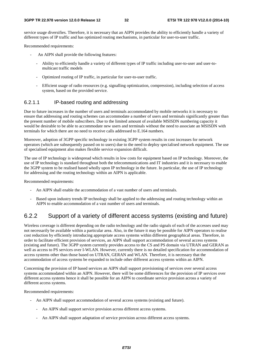service usage diversifies. Therefore, it is necessary that an AIPN provides the ability to efficiently handle a variety of different types of IP traffic and has optimized routing mechanisms, in particular for user-to-user traffic.

Recommended requirements:

- An AIPN shall provide the following features:
	- Ability to efficiently handle a variety of different types of IP traffic including user-to-user and user-tomulticast traffic models
	- Optimized routing of IP traffic, in particular for user-to-user traffic.
	- Efficient usage of radio resources (e.g. signalling optimization, compression), including selection of access system, based on the provided service.

### 6.2.1.1 IP-based routing and addressing

Due to future increases in the number of users and terminals accommodated by mobile networks it is necessary to ensure that addressing and routing schemes can accommodate a number of users and terminals significantly greater than the present number of mobile subscribers. Due to the limited amount of available MSISDN numbering capacity it would be desirable to be able to accommodate new users and terminals without the need to associate an MSISDN with terminals for which there are no need to receive calls addressed to E.164 numbers.

Moreover, adoption of 3GPP specific technology in existing 3GPP system results in cost increases for network operators (which are subsequently passed on to users) due to the need to deploy specialised network equipment. The use of specialised equipment also makes flexible service expansion difficult.

The use of IP technology is widespread which results in low costs for equipment based on IP technology. Moreover, the use of IP technology is standard throughout both the telecommunications and IT industries and it is necessary to enable the 3GPP system to be realised based wholly upon IP technology in the future. In particular, the use of IP technology for addressing and the routing technology within an AIPN is applicable.

Recommended requirements:

- An AIPN shall enable the accommodation of a vast number of users and terminals.
- Based upon industry trends IP technology shall be applied to the addressing and routing technology within an AIPN to enable accommodation of a vast number of users and terminals.

## 6.2.2 Support of a variety of different access systems (existing and future)

Wireless coverage is different depending on the radio technology and the radio signals of each of the accesses used may not necessarily be available within a particular area. Also, in the future it may be possible for AIPN operators to realise cost reduction by efficiently introducing appropriate access systems within different geographical areas. Therefore, in order to facilitate efficient provision of services, an AIPN shall support accommodation of several access systems (existing and future). The 3GPP system currently provides access to the CS and PS domain via UTRAN and GERAN as well as access to PS services over I-WLAN. However, currently there is no detailed specification for accommodation of access systems other than those based on UTRAN, GERAN and WLAN. Therefore, it is necessary that the accommodation of access systems be expanded to include other different access systems within an AIPN.

Concerning the provision of IP based services an AIPN shall support provisioning of services over several access systems accommodated within an AIPN. However, there will be some differences for the provision of IP services over different access systems hence it shall be possible for an AIPN to coordinate service provision across a variety of different access systems.

Recommended requirements:

- An AIPN shall support accommodation of several access systems (existing and future).
	- An AIPN shall support service provision across different access systems.
	- An AIPN shall support adaptation of service provision across different access systems.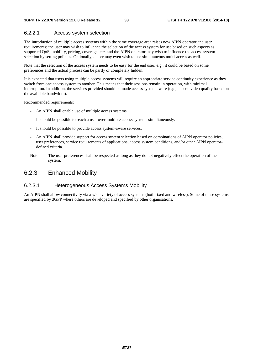### 6.2.2.1 Access system selection

The introduction of multiple access systems within the same coverage area raises new AIPN operator and user requirements; the user may wish to influence the selection of the access system for use based on such aspects as supported QoS, mobility, pricing, coverage, etc. and the AIPN operator may wish to influence the access system selection by setting policies. Optionally, a user may even wish to use simultaneous multi-access as well.

Note that the selection of the access system needs to be easy for the end user, e.g., it could be based on some preferences and the actual process can be partly or completely hidden.

It is expected that users using multiple access systems will require an appropriate service continuity experience as they switch from one access system to another. This means that their sessions remain in operation, with minimal interruption. In addition, the services provided should be made access system aware (e.g., choose video quality based on the available bandwidth).

Recommended requirements:

- An AIPN shall enable use of multiple access systems
- It should be possible to reach a user over multiple access systems simultaneously.
- It should be possible to provide access system-aware services.
- An AIPN shall provide support for access system selection based on combinations of AIPN operator policies, user preferences, service requirements of applications, access system conditions, and/or other AIPN operatordefined criteria.
- Note: The user preferences shall be respected as long as they do not negatively effect the operation of the system.

## 6.2.3 Enhanced Mobility

### 6.2.3.1 Heterogeneous Access Systems Mobility

An AIPN shall allow connectivity via a wide variety of access systems (both fixed and wireless). Some of these systems are specified by 3GPP where others are developed and specified by other organisations.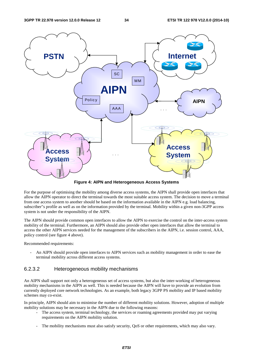

**Figure 4: AIPN and Heterogeneous Access Systems** 

For the purpose of optimising the mobility among diverse access systems, the AIPN shall provide open interfaces that allow the AIPN operator to direct the terminal towards the most suitable access system. The decision to move a terminal from one access system to another should be based on the information available in the AIPN e.g. load balancing, subscriber"s profile as well as on the information provided by the terminal. Mobility within a given non-3GPP access system is not under the responsibility of the AIPN.

The AIPN should provide common open interfaces to allow the AIPN to exercise the control on the inter-access system mobility of the terminal. Furthermore, an AIPN should also provide other open interfaces that allow the terminal to access the other AIPN services needed for the management of the subscribers in the AIPN, i.e. session control, AAA, policy control (see figure 4 above).

Recommended requirements:

An AIPN should provide open interfaces to AIPN services such as mobility management in order to ease the terminal mobility across different access systems.

### 6.2.3.2 Heterogeneous mobility mechanisms

An AIPN shall support not only a heterogeneous set of access systems, but also the inter-working of heterogeneous mobility mechanisms in the AIPN as well. This is needed because the AIPN will have to provide an evolution from currently deployed core network technologies. As an example, both legacy 3GPP PS mobility and IP based mobility schemes may co-exist.

In principle, AIPN should aim to minimise the number of different mobility solutions. However, adoption of multiple mobility solutions may be necessary in the AIPN due to the following reasons:

- The access system, terminal technology, the services or roaming agreements provided may put varying requirements on the AIPN mobility solution.
- The mobility mechanisms must also satisfy security, QoS or other requirements, which may also vary.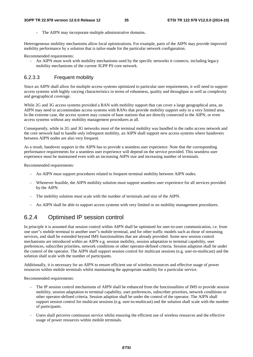The AIPN may incorporate multiple administrative domains.

Heterogeneous mobility mechanisms allow local optimizations. For example, parts of the AIPN may provide improved mobility performance by a solution that is tailor-made for the particular network configuration.

Recommended requirements:

- An AIPN must work with mobility mechanisms used by the specific networks it connects, including legacy mobility mechanisms of the current 3GPP PS core network.

### 6.2.3.3 Frequent mobility

Since an AIPN shall allow for multiple access systems optimized to particular user requirements, it will need to support access systems with highly varying characteristics in terms of robustness, quality and throughput as well as complexity and geographical coverage.

While 2G and 3G access systems provided a RAN with mobility support that can cover a large geographical area, an AIPN may need to accommodate access systems with RANs that provide mobility support only in a very limited area. In the extreme case, the access system may consist of base stations that are directly connected to the AIPN, or even access systems without any mobility management procedures at all.

Consequently, while in 2G and 3G networks most of the terminal mobility was handled in the radio access network and the core network had to handle only infrequent mobility, an AIPN shall support new access systems where handovers between AIPN nodes are also very frequent.

As a result, handover support in the AIPN has to provide a seamless user experience. Note that the corresponding performance requirements for a seamless user experience will depend on the service provided. This seamless user experience must be maintained even with an increasing AIPN size and increasing number of terminals.

Recommended requirements:

- An AIPN must support procedures related to frequent terminal mobility between AIPN nodes.
- Whenever feasible, the AIPN mobility solution must support seamless user experience for all services provided by the AIPN.
- The mobility solution must scale with the number of terminals and size of the AIPN.
- An AIPN shall be able to support access systems with very limited or no mobility management procedures.

## 6.2.4 Optimised IP session control

In principle it is assumed that session control within AIPN shall be optimised for user-to-user communication, i.e. from one user"s mobile terminal to another user"s mobile terminal, and for other traffic models such as those of streaming services, and shall be extended beyond IMS functionalities that are already provided. Some new session control mechanisms are introduced within an AIPN e.g. session mobility, session adaptation to terminal capability, user preferences, subscriber priorities, network conditions or other operator-defined criteria. Session adaption shall be under the control of the operator. The AIPN shall support session control for multicast sessions (e.g. user-to-multicast) and the solution shall scale with the number of participants.

Additionally, it is necessary for an AIPN to ensure efficient use of wireless resources and effective usage of power resources within mobile terminals whilst maintaining the appropriate usability for a particular service.

Recommended requirements:

- The IP session control mechanisms of AIPN shall be enhanced from the functionalities of IMS to provide session mobility, session adaptation to terminal capability, user preferences, subscriber priorities, network conditions or other operator-defined criteria. Session adaption shall be under the control of the operator. The AIPN shall support session control for multicast sessions (e.g. user-to-multicast) and the solution shall scale with the number of participants.
- Users shall perceive continuous service whilst ensuring the efficient use of wireless resources and the effective usage of power resources within mobile terminals.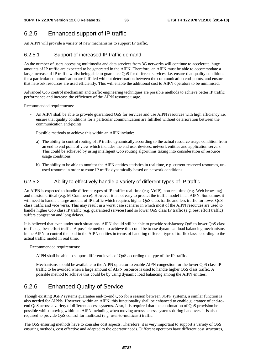## 6.2.5 Enhanced support of IP traffic

An AIPN will provide a variety of new mechanisms to support IP traffic.

## 6.2.5.1 Support of increased IP traffic demand

As the number of users accessing multimedia and data services from 3G networks will continue to accelerate, huge amounts of IP traffic are expected to be generated in the AIPN. Therefore, an AIPN must be able to accommodate a large increase of IP traffic whilst being able to guarantee QoS for different services, i.e. ensure that quality conditions for a particular communication are fulfilled without deterioration between the communication end-points, and ensure that network resources are used efficiently. This will enable the additional cost to AIPN operators to be minimised.

Advanced QoS control mechanism and traffic engineering techniques are possible methods to achieve better IP traffic performance and increase the efficiency of the AIPN resource usage.

Recommended requirements:

An AIPN shall be able to provide guaranteed OoS for services and use AIPN resources with high efficiency i.e. ensure that quality conditions for a particular communication are fulfilled without deterioration between the communication end-points.

Possible methods to achieve this within an AIPN include:

- a) The ability to control routing of IP traffic dynamically according to the actual resource usage condition from an end to end point of view which includes the end user devices, network entities and application servers. This could be achieved by using intelligent QoS routing algorithms taking into consideration of resource usage conditions.
- b) The ability to be able to monitor the AIPN entities statistics in real time, e.g. current reserved resources, unused resource in order to route IP traffic dynamically based on network conditions.

### 6.2.5.2 Ability to effectively handle a variety of different types of IP traffic

An AIPN is expected to handle different types of IP traffic: real-time (e.g. VoIP), non-real time (e.g. Web browsing) and mission critical (e.g. M-Commerce). However it is not easy to predict the traffic model in an AIPN. Sometimes it will need to handle a large amount of IP traffic which requires higher QoS class traffic and less traffic for lower QoS class traffic and vice versa. This may result in a worst case scenario in which most of the AIPN resources are used to handle higher QoS class IP traffic (e.g. guaranteed services) and so lower QoS class IP traffic (e.g. best effort traffic) suffers congestion and long delays.

It is believed that even under such situations, AIPN should still be able to provide satisfactory QoS to lower QoS class traffic e.g. best effort traffic. A possible method to achieve this could be to use dynamical load balancing mechanisms in the AIPN to control the load in the AIPN entities in terms of handling different type of traffic class according to the actual traffic model in real time.

Recommended requirements:

- AIPN shall be able to support different levels of QoS according the type of the IP traffic.
- Mechanisms should be available to the AIPN operator to enable AIPN congestion for the lower QoS class IP traffic to be avoided when a large amount of AIPN resource is used to handle higher QoS class traffic. A possible method to achieve this could be by using dynamic load balancing among the AIPN entities.

## 6.2.6 Enhanced Quality of Service

Though existing 3GPP systems guarantee end-to-end QoS for a session between 3GPP systems, a similar function is also needed for AIPNs. However, within an AIPN, this functionality shall be enhanced to enable guarantee of end-toend QoS across a variety of different access systems. Also, it is required that the continuation of QoS provision be possible whilst moving within an AIPN including when moving across access systems during handover. It is also required to provide QoS control for multicast (e.g. user-to-multicast) traffic.

The QoS ensuring methods have to consider cost aspects. Therefore, it is very important to support a variety of QoS ensuring methods, cost effective and adapted to the operator needs. Different operators have different cost structures,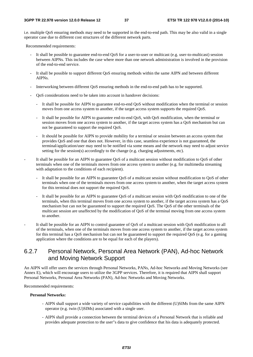i.e. multiple QoS ensuring methods may need to be supported in the end-to-end path. This may be also valid in a single operator case due to different cost structures of the different network parts.

Recommended requirements:

- It shall be possible to guarantee end-to-end QoS for a user-to-user or multicast (e.g. user-to-multicast) session between AIPNs. This includes the case where more than one network administration is involved in the provision of the end-to-end service.
- It shall be possible to support different QoS ensuring methods within the same AIPN and between different AIPNs.
- Interworking between different QoS ensuring methods in the end-to-end path has to be supported.
- QoS considerations need to be taken into account in handover decisions:
	- It shall be possible for AIPN to guarantee end-to-end QoS without modification when the terminal or session moves from one access system to another, if the target access system supports the required QoS.
	- It shall be possible for AIPN to guarantee end-to-end QoS, with QoS modification, when the terminal or session moves from one access system to another, if the target access system has a QoS mechanism but can not be guaranteed to support the required QoS.
	- It should be possible for AIPN to provide mobility for a terminal or session between an access system that provides QoS and one that does not. However, in this case, seamless experience is not guaranteed, the terminal/application/user may need to be notified via some means and the network may need to adjust service setting for the session(s) accordingly to the change (e.g. charging adjustments, etc).
- It shall be possible for an AIPN to guarantee QoS of a multicast session without modification to QoS of other terminals when one of the terminals moves from one access system to another (e.g. for multimedia streaming with adaptation to the conditions of each recipient).
	- It shall be possible for an AIPN to guarantee QoS of a multicast session without modification to QoS of other terminals when one of the terminals moves from one access system to another, when the target access system for this terminal does not support the required QoS.
	- It shall be possible for an AIPN to guarantee OoS of a multicast session with OoS modification to one of the terminals, when this terminal moves from one access system to another, if the target access system has a QoS mechanism but can not be guaranteed to support the required QoS. The QoS of the other terminals of the multicast session are unaffected by the modification of QoS of the terminal moving from one access system to another.
- It shall be possible for an AIPN to control guarantee of QoS of a multicast session with QoS modification to all of the terminals, when one of the terminals moves from one access system to another, if the target access system for this terminal has a QoS mechanism but can not be guaranteed to support the required QoS (e.g. for a gaming application where the conditions are to be equal for each of the players).

## 6.2.7 Personal Network, Personal Area Network (PAN), Ad-hoc Network and Moving Network Support

An AIPN will offer users the services through Personal Networks, PANs, Ad-hoc Networks and Moving Networks (see Annex E), which will encourage users to utilize the 3GPP services. Therefore, it is required that AIPN shall support Personal Networks, Personal Area Networks (PAN), Ad-hoc Networks and Moving Networks.

Recommended requirements:

#### **Personal Networks:**

- AIPN shall support a wide variety of service capabilities with the different (U)SIMs from the same AIPN operator (e.g. twin (U)SIMs) associated with a single user.
- AIPN shall provide a connection between the terminal devices of a Personal Network that is reliable and provides adequate protection to the user"s data to give confidence that his data is adequately protected.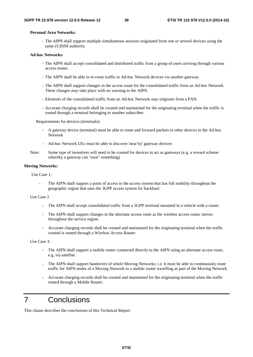#### **Personal Area Networks:**

- The AIPN shall support multiple simultaneous sessions originated from one or several devices using the same (U)SIM authority.

#### **Ad-hoc Networks:**

- The AIPN shall accept consolidated and distributed traffic from a group of users arriving through various access routes.
- The AIPN shall be able to re-route traffic to Ad-hoc Network devices via another gateway.
- The AIPN shall support changes in the access route for the consolidated traffic from an Ad-hoc Network. These changes may take place with no warning to the AIPN.
- Elements of the consolidated traffic from an Ad-hoc Network may originate from a PAN.
- Accurate charging records shall be created and maintained for the originating terminal when the traffic is routed through a terminal belonging to another subscriber.

Requirements for devices (terminals):

- A gateway device (terminal) must be able to route and forward packets to other devices in the Ad-hoc Network
- Ad-hoc Network UEs must be able to discover 'near by' gateway devices
- Note: Some type of incentives will need to be created for devices to act as gateways (e.g. a reward scheme whereby a gateway can "earn" something)

#### **Moving Networks:**

Use Case 1:

The AIPN shall support a point of access to the access system that has full mobility throughout the geographic region that uses the 3GPP access system for backhaul.

#### Use Case 2

- The AIPN shall accept consolidated traffic from a 3GPP terminal mounted in a vehicle with a router.
- The AIPN shall support changes in the alternate access route as the wireless access router moves throughout the service region.
- Accurate charging records shall be created and maintained for the originating terminal when the traffic created is routed through a Wireless Access Router.

Use Case 3:

- The AIPN shall support a mobile router connected directly to the AIPN using an alternate access route, e.g. via satellite.
- The AIPN shall support handovers of whole Moving Networks; i.e. it must be able to continuously route traffic for AIPN nodes of a Moving Network to a mobile router travelling as part of the Moving Network
- Accurate charging records shall be created and maintained for the originating terminal when the traffic routed through a Mobile Router.

## 7 Conclusions

This clause describes the conclusions of this Technical Report.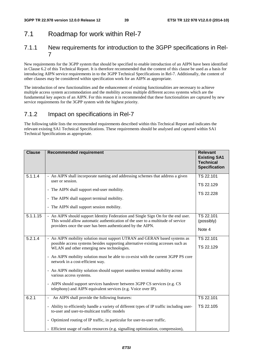## 7.1 Roadmap for work within Rel-7

## 7.1.1 New requirements for introduction to the 3GPP specifications in Rel-7

New requirements for the 3GPP system that should be specified to enable introduction of an AIPN have been identified in Clause 6.2 of this Technical Report. It is therefore recommended that the content of this clause be used as a basis for introducing AIPN service requirements in to the 3GPP Technical Specifications in Rel-7. Additionally, the content of other clauses may be considered within specification work for an AIPN as appropriate.

The introduction of new functionalities and the enhancement of existing functionalities are necessary to achieve multiple access system accommodation and the mobility across multiple different access systems which are the fundamental key aspects of an AIPN. For this reason it is recommended that these functionalities are captured by new service requirements for the 3GPP system with the highest priority.

## 7.1.2 Impact on specifications in Rel-7

The following table lists the recommended requirements described within this Technical Report and indicates the relevant existing SA1 Technical Specifications. These requirements should be analysed and captured within SA1 Technical Specifications as appropriate.

| <b>Clause</b> | <b>Recommended requirement</b>                                                                                                                                                                                                                                                                                                                                                                                                                                                                                                                                                                | <b>Relevant</b><br><b>Existing SA1</b><br><b>Technical</b><br><b>Specification</b> |
|---------------|-----------------------------------------------------------------------------------------------------------------------------------------------------------------------------------------------------------------------------------------------------------------------------------------------------------------------------------------------------------------------------------------------------------------------------------------------------------------------------------------------------------------------------------------------------------------------------------------------|------------------------------------------------------------------------------------|
| 5.1.1.4       | - An AIPN shall incorporate naming and addressing schemes that address a given<br>user or session.<br>- The AIPN shall support end-user mobility.<br>- The AIPN shall support terminal mobility.<br>- The AIPN shall support session mobility.                                                                                                                                                                                                                                                                                                                                                | TS 22.101<br>TS 22.129<br>TS 22.228                                                |
| 5.1.1.15      | - An AIPN should support Identity Federation and Single Sign On for the end user.<br>This would allow automatic authentication of the user to a multitude of service<br>providers once the user has been authenticated by the AIPN.                                                                                                                                                                                                                                                                                                                                                           | TS 22.101<br>(possibly)<br>Note 4                                                  |
| 5.2.1.4       | - An AIPN mobility solution must support UTRAN and GERAN based systems as<br>possible access systems besides supporting alternative existing accesses such as<br>WLAN and other emerging new technologies.<br>- An AIPN mobility solution must be able to co-exist with the current 3GPP PS core<br>network in a cost-efficient way.<br>- An AIPN mobility solution should support seamless terminal mobility across<br>various access systems.<br>- AIPN should support services handover between 3GPP CS services (e.g. CS<br>telephony) and AIPN equivalent services (e.g. Voice over IP). | TS 22.101<br>TS 22.129                                                             |
| 6.2.1         | An AIPN shall provide the following features:<br>- Ability to efficiently handle a variety of different types of IP traffic including user-<br>to-user and user-to-multicast traffic models<br>- Optimized routing of IP traffic, in particular for user-to-user traffic.<br>- Efficient usage of radio resources (e.g. signalling optimization, compression),                                                                                                                                                                                                                                | TS 22.101<br>TS 22.105                                                             |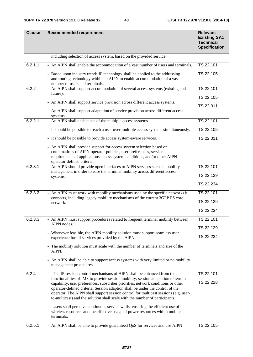| <b>Clause</b> | <b>Recommended requirement</b>                                                                                                                                                                                                                                                                                                                                                                                                | <b>Relevant</b><br><b>Existing SA1</b><br><b>Technical</b><br><b>Specification</b> |
|---------------|-------------------------------------------------------------------------------------------------------------------------------------------------------------------------------------------------------------------------------------------------------------------------------------------------------------------------------------------------------------------------------------------------------------------------------|------------------------------------------------------------------------------------|
|               | including selection of access system, based on the provided service.                                                                                                                                                                                                                                                                                                                                                          |                                                                                    |
| 6.2.1.1       | - An AIPN shall enable the accommodation of a vast number of users and terminals.                                                                                                                                                                                                                                                                                                                                             | TS 22.101                                                                          |
|               | - Based upon industry trends IP technology shall be applied to the addressing<br>and routing technology within an AIPN to enable accommodation of a vast<br>number of users and terminals.                                                                                                                                                                                                                                    | TS 22.105                                                                          |
| 6.2.2         | - An AIPN shall support accommodation of several access systems (existing and<br>future).                                                                                                                                                                                                                                                                                                                                     | TS 22.101                                                                          |
|               |                                                                                                                                                                                                                                                                                                                                                                                                                               | TS 22.105                                                                          |
|               | - An AIPN shall support service provision across different access systems.                                                                                                                                                                                                                                                                                                                                                    | TS 22.011                                                                          |
|               | - An AIPN shall support adaptation of service provision across different access<br>systems.                                                                                                                                                                                                                                                                                                                                   |                                                                                    |
| 6.2.2.1       | - An AIPN shall enable use of the multiple access systems                                                                                                                                                                                                                                                                                                                                                                     | TS 22.101                                                                          |
|               | - It should be possible to reach a user over multiple access systems simultaneously.                                                                                                                                                                                                                                                                                                                                          | TS 22.105                                                                          |
|               | - It should be possible to provide access system-aware services.                                                                                                                                                                                                                                                                                                                                                              | TS 22.011                                                                          |
|               | - An AIPN shall provide support for access system selection based on<br>combinations of AIPN operator policies, user preferences, service<br>requirements of applications access system conditions, and/or other AIPN<br>operator-defined criteria.                                                                                                                                                                           |                                                                                    |
| 6.2.3.1       | - An AIPN should provide open interfaces to AIPN services such as mobility                                                                                                                                                                                                                                                                                                                                                    | TS 22.101                                                                          |
|               | management in order to ease the terminal mobility across different access<br>systems.                                                                                                                                                                                                                                                                                                                                         | TS 22.129                                                                          |
|               |                                                                                                                                                                                                                                                                                                                                                                                                                               | TS 22.234                                                                          |
| 6.2.3.2       | - An AIPN must work with mobility mechanisms used by the specific networks it                                                                                                                                                                                                                                                                                                                                                 | TS 22.101                                                                          |
|               | connects, including legacy mobility mechanisms of the current 3GPP PS core<br>network.                                                                                                                                                                                                                                                                                                                                        | TS 22.129                                                                          |
|               |                                                                                                                                                                                                                                                                                                                                                                                                                               | TS 22.234                                                                          |
| 6.2.3.3       | - An AIPN must support procedures related to frequent terminal mobility between                                                                                                                                                                                                                                                                                                                                               | TS 22.101                                                                          |
|               | AIPN nodes.                                                                                                                                                                                                                                                                                                                                                                                                                   | TS 22.129                                                                          |
|               | - Whenever feasible, the AIPN mobility solution must support seamless user<br>experience for all services provided by the AIPN.                                                                                                                                                                                                                                                                                               | TS 22.234                                                                          |
|               | - The mobility solution must scale with the number of terminals and size of the                                                                                                                                                                                                                                                                                                                                               |                                                                                    |
|               | AIPN.                                                                                                                                                                                                                                                                                                                                                                                                                         |                                                                                    |
|               | - An AIPN shall be able to support access systems with very limited or no mobility<br>management procedures.                                                                                                                                                                                                                                                                                                                  |                                                                                    |
| 6.2.4         | The IP session control mechanisms of AIPN shall be enhanced from the<br>$\blacksquare$                                                                                                                                                                                                                                                                                                                                        | TS 22.101                                                                          |
|               | functionalities of IMS to provide session mobility, session adaptation to terminal<br>capability, user preferences, subscriber priorities, network conditions or other<br>operator-defined criteria. Session adaption shall be under the control of the<br>operator. The AIPN shall support session control for multicast sessions (e.g. user-<br>to-multicast) and the solution shall scale with the number of participants. | TS 22.228                                                                          |
|               | - Users shall perceive continuous service whilst ensuring the efficient use of<br>wireless resources and the effective usage of power resources within mobile<br>terminals.                                                                                                                                                                                                                                                   |                                                                                    |
| 6.2.5.1       | - An AIPN shall be able to provide guaranteed QoS for services and use AIPN                                                                                                                                                                                                                                                                                                                                                   | TS 22.105                                                                          |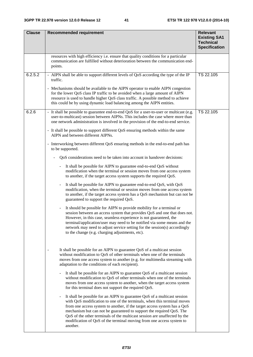| <b>Clause</b> | <b>Recommended requirement</b>                                                                                                                                                                                                                                                                                                                                                                                                                                                                           | <b>Relevant</b><br><b>Existing SA1</b><br><b>Technical</b><br><b>Specification</b> |
|---------------|----------------------------------------------------------------------------------------------------------------------------------------------------------------------------------------------------------------------------------------------------------------------------------------------------------------------------------------------------------------------------------------------------------------------------------------------------------------------------------------------------------|------------------------------------------------------------------------------------|
|               | resources with high efficiency i.e. ensure that quality conditions for a particular<br>communication are fulfilled without deterioration between the communication end-<br>points.                                                                                                                                                                                                                                                                                                                       |                                                                                    |
| 6.2.5.2       | - AIPN shall be able to support different levels of QoS according the type of the IP<br>traffic.                                                                                                                                                                                                                                                                                                                                                                                                         | TS 22.105                                                                          |
|               | - Mechanisms should be available to the AIPN operator to enable AIPN congestion<br>for the lower QoS class IP traffic to be avoided when a large amount of AIPN<br>resource is used to handle higher QoS class traffic. A possible method to achieve<br>this could be by using dynamic load balancing among the AIPN entities.                                                                                                                                                                           |                                                                                    |
| 6.2.6         | - It shall be possible to guarantee end-to-end QoS for a user-to-user or multicast (e.g.<br>user-to-multicast) session between AIPNs. This includes the case where more than<br>one network administration is involved in the provision of the end-to-end service.                                                                                                                                                                                                                                       | TS 22.105                                                                          |
|               | - It shall be possible to support different QoS ensuring methods within the same<br>AIPN and between different AIPNs.                                                                                                                                                                                                                                                                                                                                                                                    |                                                                                    |
|               | - Interworking between different QoS ensuring methods in the end-to-end path has<br>to be supported.                                                                                                                                                                                                                                                                                                                                                                                                     |                                                                                    |
|               | QoS considerations need to be taken into account in handover decisions:                                                                                                                                                                                                                                                                                                                                                                                                                                  |                                                                                    |
|               | It shall be possible for AIPN to guarantee end-to-end QoS without<br>$\blacksquare$<br>modification when the terminal or session moves from one access system<br>to another, if the target access system supports the required QoS.                                                                                                                                                                                                                                                                      |                                                                                    |
|               | It shall be possible for AIPN to guarantee end-to-end QoS, with QoS<br>$\qquad \qquad \blacksquare$<br>modification, when the terminal or session moves from one access system<br>to another, if the target access system has a QoS mechanism but can not be<br>guaranteed to support the required QoS.                                                                                                                                                                                                  |                                                                                    |
|               | It should be possible for AIPN to provide mobility for a terminal or<br>$\overline{\phantom{a}}$<br>session between an access system that provides QoS and one that does not.<br>However, in this case, seamless experience is not guaranteed, the<br>terminal/application/user may need to be notified via some means and the<br>network may need to adjust service setting for the session(s) accordingly<br>to the change (e.g. charging adjustments, etc).                                           |                                                                                    |
|               | It shall be possible for an AIPN to guarantee QoS of a multicast session<br>without modification to QoS of other terminals when one of the terminals<br>moves from one access system to another (e.g. for multimedia streaming with<br>adaptation to the conditions of each recipient).                                                                                                                                                                                                                  |                                                                                    |
|               | It shall be possible for an AIPN to guarantee QoS of a multicast session<br>without modification to QoS of other terminals when one of the terminals<br>moves from one access system to another, when the target access system<br>for this terminal does not support the required QoS.                                                                                                                                                                                                                   |                                                                                    |
|               | It shall be possible for an AIPN to guarantee QoS of a multicast session<br>$\qquad \qquad \blacksquare$<br>with QoS modification to one of the terminals, when this terminal moves<br>from one access system to another, if the target access system has a QoS<br>mechanism but can not be guaranteed to support the required QoS. The<br>QoS of the other terminals of the multicast session are unaffected by the<br>modification of QoS of the terminal moving from one access system to<br>another. |                                                                                    |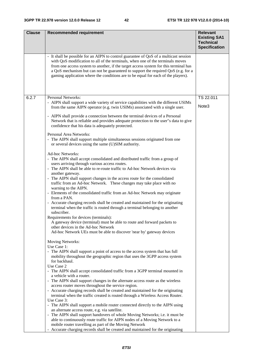| <b>Clause</b> | <b>Recommended requirement</b>                                                                                                                                                                                                                                                                                                                                                                                                            | <b>Relevant</b>                                                 |
|---------------|-------------------------------------------------------------------------------------------------------------------------------------------------------------------------------------------------------------------------------------------------------------------------------------------------------------------------------------------------------------------------------------------------------------------------------------------|-----------------------------------------------------------------|
|               |                                                                                                                                                                                                                                                                                                                                                                                                                                           | <b>Existing SA1</b><br><b>Technical</b><br><b>Specification</b> |
|               | - It shall be possible for an AIPN to control guarantee of QoS of a multicast session<br>with QoS modification to all of the terminals, when one of the terminals moves<br>from one access system to another, if the target access system for this terminal has<br>a QoS mechanism but can not be guaranteed to support the required QoS (e.g. for a<br>gaming application where the conditions are to be equal for each of the players). |                                                                 |
| 6.2.7         | <b>Personal Networks:</b>                                                                                                                                                                                                                                                                                                                                                                                                                 | TS 22.011                                                       |
|               | - AIPN shall support a wide variety of service capabilities with the different USIMs<br>from the same AIPN operator (e.g. twin USIMs) associated with a single user.                                                                                                                                                                                                                                                                      | Note3                                                           |
|               | - AIPN shall provide a connection between the terminal devices of a Personal<br>Network that is reliable and provides adequate protection to the user"s data to give<br>confidence that his data is adequately protected.                                                                                                                                                                                                                 |                                                                 |
|               | Personal Area Networks:<br>- The AIPN shall support multiple simultaneous sessions originated from one<br>or several devices using the same (U)SIM authority.                                                                                                                                                                                                                                                                             |                                                                 |
|               | Ad-hoc Networks:                                                                                                                                                                                                                                                                                                                                                                                                                          |                                                                 |
|               | - The AIPN shall accept consolidated and distributed traffic from a group of<br>users arriving through various access routes.                                                                                                                                                                                                                                                                                                             |                                                                 |
|               | - The AIPN shall be able to re-route traffic to Ad-hoc Network devices via                                                                                                                                                                                                                                                                                                                                                                |                                                                 |
|               | another gateway.<br>- The AIPN shall support changes in the access route for the consolidated<br>traffic from an Ad-hoc Network. These changes may take place with no<br>warning to the AIPN.                                                                                                                                                                                                                                             |                                                                 |
|               | - Elements of the consolidated traffic from an Ad-hoc Network may originate<br>from a PAN.                                                                                                                                                                                                                                                                                                                                                |                                                                 |
|               | - Accurate charging records shall be created and maintained for the originating<br>terminal when the traffic is routed through a terminal belonging to another<br>subscriber.                                                                                                                                                                                                                                                             |                                                                 |
|               | Requirements for devices (terminals):<br>A gateway device (terminal) must be able to route and forward packets to                                                                                                                                                                                                                                                                                                                         |                                                                 |
|               | other devices in the Ad-hoc Network<br>Ad-hoc Network UEs must be able to discover 'near by' gateway devices                                                                                                                                                                                                                                                                                                                              |                                                                 |
|               | Moving Networks:                                                                                                                                                                                                                                                                                                                                                                                                                          |                                                                 |
|               | Use Case 1:                                                                                                                                                                                                                                                                                                                                                                                                                               |                                                                 |
|               | - The AIPN shall support a point of access to the access system that has full<br>mobility throughout the geographic region that uses the 3GPP access system<br>for backhaul.                                                                                                                                                                                                                                                              |                                                                 |
|               | Use Case 2                                                                                                                                                                                                                                                                                                                                                                                                                                |                                                                 |
|               | - The AIPN shall accept consolidated traffic from a 3GPP terminal mounted in<br>a vehicle with a router.                                                                                                                                                                                                                                                                                                                                  |                                                                 |
|               | - The AIPN shall support changes in the alternate access route as the wireless                                                                                                                                                                                                                                                                                                                                                            |                                                                 |
|               | access router moves throughout the service region.<br>- Accurate charging records shall be created and maintained for the originating<br>terminal when the traffic created is routed through a Wireless Access Router.                                                                                                                                                                                                                    |                                                                 |
|               | Use Case 3:<br>- The AIPN shall support a mobile router connected directly to the AIPN using                                                                                                                                                                                                                                                                                                                                              |                                                                 |
|               | an alternate access route, e.g. via satellite.                                                                                                                                                                                                                                                                                                                                                                                            |                                                                 |
|               | - The AIPN shall support handovers of whole Moving Networks; i.e. it must be<br>able to continuously route traffic for AIPN nodes of a Moving Network to a                                                                                                                                                                                                                                                                                |                                                                 |
|               | mobile router travelling as part of the Moving Network<br>- Accurate charging records shall be created and maintained for the originating                                                                                                                                                                                                                                                                                                 |                                                                 |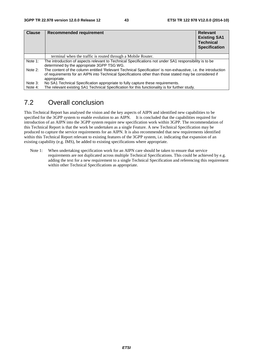| <b>Clause</b> | Recommended requirement                                                                                                                                                                                                                  | <b>Relevant</b><br><b>Existing SA1</b><br><b>Technical</b><br><b>Specification</b> |
|---------------|------------------------------------------------------------------------------------------------------------------------------------------------------------------------------------------------------------------------------------------|------------------------------------------------------------------------------------|
|               | terminal when the traffic is routed through a Mobile Router.                                                                                                                                                                             |                                                                                    |
| Note 1:       | The introduction of aspects relevant to Technical Specifications not under SA1 responsibility is to be<br>determined by the appropriate 3GPP TSG WG.                                                                                     |                                                                                    |
| Note 2:       | The content of the column entitled 'Relevant Technical Specification' is non-exhaustive, i.e. the introduction<br>of requirements for an AIPN into Technical Specifications other than those stated may be considered if<br>appropriate. |                                                                                    |
| Note 3:       | No SA1 Technical Specification appropriate to fully capture these requirements.                                                                                                                                                          |                                                                                    |
| Note 4:       | The relevant existing SA1 Technical Specification for this functionality is for further study.                                                                                                                                           |                                                                                    |

## 7.2 Overall conclusion

This Technical Report has analysed the vision and the key aspects of AIPN and identified new capabilities to be specified for the 3GPP system to enable evolution to an AIPN. It is concluded that the capabilities required for introduction of an AIPN into the 3GPP system require new specification work within 3GPP. The recommendation of this Technical Report is that the work be undertaken as a single Feature. A new Technical Specification may be produced to capture the service requirements for an AIPN. It is also recommended that new requirements identified within this Technical Report relevant to existing features of the 3GPP system, i.e. indicating that expansion of an existing capability (e.g. IMS), be added to existing specifications where appropriate.

Note 1: When undertaking specification work for an AIPN care should be taken to ensure that service requirements are not duplicated across multiple Technical Specifications. This could be achieved by e.g. adding the text for a new requirement to a single Technical Specification and referencing this requirement within other Technical Specifications as appropriate.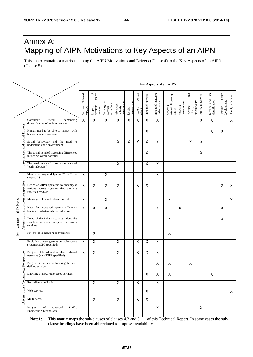## Annex A: Mapping of AIPN Motivations to Key Aspects of an AIPN

This annex contains a matrix mapping the AIPN Motivations and Drivers (Clause 4) to the Key Aspects of an AIPN (Clause 5).

|  |                                                                     |                                                                                                   |                            |                                                     |                                           |                                   |                       |                               |                         |                                 | Key Aspects of an AIPN                   |                       |                                             |                    |                                     |                                   |                         |
|--|---------------------------------------------------------------------|---------------------------------------------------------------------------------------------------|----------------------------|-----------------------------------------------------|-------------------------------------------|-----------------------------------|-----------------------|-------------------------------|-------------------------|---------------------------------|------------------------------------------|-----------------------|---------------------------------------------|--------------------|-------------------------------------|-----------------------------------|-------------------------|
|  |                                                                     |                                                                                                   | Common IP-based<br>network | of $\frac{1}{2}$<br>Support<br>different<br>systems | ٩<br>Convergence<br>towards<br>technology | managemen<br>Advanced<br>mobility | management<br>Session | system<br>selection<br>Access | Enhanced services       | Enhanced network<br>performance | Network<br>extensibility/comp<br>nsition | Network<br>management | and<br>functionality<br>Security<br>privacy | Quality of Service | Terminal and User<br>identification | future<br>development<br>Flexible | Identity federation     |
|  |                                                                     | Consumer<br>trend<br>demanding<br>diversification of mobile services                              | $\overline{\mathsf{x}}$    | $\overline{\mathsf{x}}$                             | $\overline{X}$                            | $\overline{\mathsf{x}}$           | X                     | $\mathsf X$                   | $\pmb{\times}$          | $\overline{\mathsf{x}}$         |                                          |                       |                                             | X                  | X                                   |                                   | $\overline{\mathsf{x}}$ |
|  | Social Drivers                                                      | Human need to be able to interact with<br>his personal environment                                |                            |                                                     |                                           |                                   |                       |                               | X                       |                                 |                                          |                       |                                             |                    | X                                   | $\mathsf X$                       |                         |
|  | and                                                                 | Social behaviour and<br>the<br>need<br>to<br>understand one's environment                         |                            |                                                     |                                           | $\mathsf X$                       | X                     | $\pmb{\mathsf{X}}$            | $\pmb{\times}$          | X                               |                                          |                       | X                                           | X                  |                                     |                                   |                         |
|  | related                                                             | The social trend of increasing differences<br>in income within societies                          |                            |                                                     |                                           |                                   |                       |                               | $\pmb{\times}$          |                                 |                                          |                       |                                             | $\pmb{\times}$     |                                     |                                   |                         |
|  | User                                                                | The need to satisfy user experience of<br>"early-adopters"                                        |                            |                                                     |                                           | $\mathsf X$                       |                       |                               | $\pmb{\times}$          | $\pmb{\times}$                  |                                          |                       |                                             |                    |                                     |                                   |                         |
|  |                                                                     | Mobile industry anticipating PS traffic to<br>surpass CS                                          | X                          |                                                     | $\overline{\mathsf{x}}$                   |                                   |                       |                               |                         | $\overline{\mathsf{x}}$         |                                          |                       |                                             |                    |                                     |                                   |                         |
|  | Perspective                                                         | Desire of AIPN operators to encompass<br>various access systems that are not<br>specified by 3GPP | $\overline{\mathsf{x}}$    | $\overline{\mathsf{x}}$                             | $\overline{\mathsf{x}}$                   | $\overline{\mathsf{x}}$           |                       | $\overline{\mathsf{x}}$       | $\overline{\mathsf{x}}$ |                                 |                                          |                       |                                             |                    |                                     | X                                 | $\overline{X}$          |
|  | <b>Business</b>                                                     | Marriage of IT- and telecom world                                                                 | $\overline{\mathsf{x}}$    |                                                     | $\overline{\mathsf{x}}$                   |                                   |                       |                               |                         |                                 | $\overline{\mathsf{x}}$                  |                       |                                             |                    |                                     |                                   | $\overline{\mathsf{x}}$ |
|  | <b>Motivations and Drivers</b><br>$\mathbf{\sigma}$<br>from<br>vers | Need for increased system efficiency<br>leading to substantial cost reduction                     | $\overline{\mathsf{x}}$    | $\overline{\mathsf{x}}$                             | $\overline{X}$                            |                                   |                       |                               |                         | $\pmb{\times}$                  |                                          | $\mathsf X$           |                                             |                    |                                     | X                                 |                         |
|  |                                                                     | Trend of the industry to align along the<br>structure: access / transport / control /<br>services |                            |                                                     |                                           |                                   |                       |                               |                         |                                 | X                                        |                       |                                             |                    |                                     | X                                 |                         |
|  |                                                                     | Fixed/Mobile network convergence                                                                  |                            | $\overline{\mathsf{x}}$                             |                                           |                                   |                       |                               |                         |                                 | $\boldsymbol{\mathsf{X}}$                |                       |                                             |                    |                                     |                                   |                         |
|  |                                                                     | Evolution of next generation radio access<br>systems (3GPP specified)                             | $\boldsymbol{\mathsf{X}}$  | $\pmb{\times}$                                      |                                           | $\mathsf X$                       |                       | $\mathsf X$                   | $\mathsf X$             | $\pmb{\times}$                  |                                          |                       |                                             |                    |                                     |                                   |                         |
|  | gy Perspective                                                      | Progress of broadband wireless IP-based<br>networks (non-3GPP specified)                          | X                          | $\pmb{\times}$                                      |                                           | $\pmb{\times}$                    |                       | $\mathsf X$                   | X                       | $\pmb{\times}$                  |                                          |                       |                                             |                    |                                     |                                   |                         |
|  |                                                                     | Progress in ad-hoc networking for user<br>defined services.                                       |                            |                                                     |                                           |                                   |                       |                               |                         | $\pmb{\times}$                  | $\pmb{\times}$                           |                       | X                                           |                    |                                     |                                   |                         |
|  |                                                                     | Dawning of new, radio based services                                                              |                            |                                                     |                                           |                                   |                       |                               | Χ                       | X                               | X                                        |                       |                                             |                    | X                                   |                                   |                         |
|  | a Technol                                                           | Reconfigurable Radio                                                                              |                            | $\mathsf{X}$                                        |                                           | $\pmb{\times}$                    |                       | X                             |                         | X                               |                                          |                       |                                             |                    |                                     |                                   |                         |
|  | from                                                                | Web services                                                                                      |                            |                                                     |                                           |                                   |                       |                               | X                       |                                 |                                          |                       |                                             |                    |                                     |                                   | $\mathsf{X}$            |
|  | Drivers                                                             | Multi-access                                                                                      |                            | X                                                   |                                           | X                                 |                       | X                             | $\mathsf{X}$            |                                 |                                          |                       |                                             |                    |                                     |                                   |                         |
|  |                                                                     | of<br>advanced<br>Traffic<br>Progress<br><b>Engineering Technologies</b>                          |                            |                                                     |                                           |                                   |                       |                               |                         | $\pmb{\mathsf{X}}$              |                                          |                       |                                             | $\pmb{\mathsf{X}}$ |                                     |                                   |                         |

**Note1:** This matrix maps the sub-clauses of clauses 4.2 and 5.1.1 of this Technical Report. In some cases the subclause headings have been abbreviated to improve readability.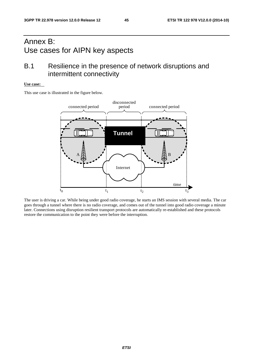## Annex B: Use cases for AIPN key aspects

## B.1 Resilience in the presence of network disruptions and intermittent connectivity

#### **Use case:**

This use case is illustrated in the figure below.



The user is driving a car. While being under good radio coverage, he starts an IMS session with several media. The car goes through a tunnel where there is no radio coverage, and comes out of the tunnel into good radio coverage a minute later. Connections using disruption resilient transport protocols are automatically re-established and these protocols restore the communication to the point they were before the interruption.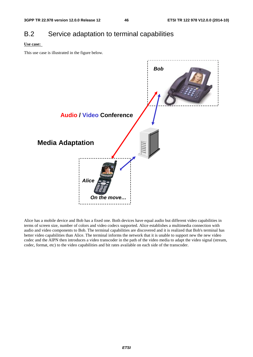## B.2 Service adaptation to terminal capabilities

#### **Use case:**

This use case is illustrated in the figure below.



Alice has a mobile device and Bob has a fixed one. Both devices have equal audio but different video capabilities in terms of screen size, number of colors and video codecs supported. Alice establishes a multimedia connection with audio and video components to Bob. The terminal capabilities are discovered and it is realized that Bob's terminal has better video capabilities than Alice. The terminal informs the network that it is unable to support new the new video codec and the AIPN then introduces a video transcoder in the path of the video media to adapt the video signal (stream, codec, format, etc) to the video capabilities and bit rates available on each side of the transcoder.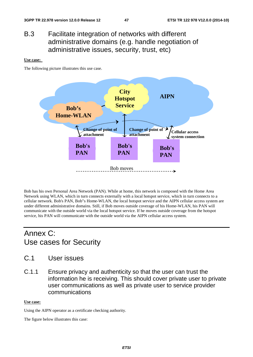## B.3 Facilitate integration of networks with different administrative domains (e.g. handle negotiation of administrative issues, security, trust, etc)

#### **Use case:**

The following picture illustrates this use case.



Bob has his own Personal Area Network (PAN). While at home, this network is composed with the Home Area Network using WLAN, which in turn connects externally with a local hotspot service, which in turn connects to a cellular network. Bob's PAN, Bob"s Home-WLAN, the local hotspot service and the AIPN cellular access system are under different administrative domains. Still, if Bob moves outside coverage of his Home-WLAN, his PAN will communicate with the outside world via the local hotspot service. If he moves outside coverage from the hotspot service, his PAN will communicate with the outside world via the AIPN cellular access system.

## Annex C: Use cases for Security

- C.1 User issues
- C.1.1 Ensure privacy and authenticity so that the user can trust the information he is receiving. This should cover private user to private user communications as well as private user to service provider communications

#### **Use case:**

Using the AIPN operator as a certificate checking authority.

The figure below illustrates this case: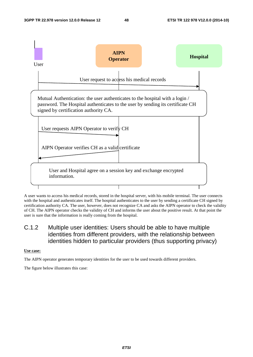

A user wants to access his medical records, stored in the hospital server, with his mobile terminal. The user connects with the hospital and authenticates itself. The hospital authenticates to the user by sending a certificate CH signed by certification authority CA. The user, however, does not recognize CA and asks the AIPN operator to check the validity of CH. The AIPN operator checks the validity of CH and informs the user about the positive result. At that point the user is sure that the information is really coming from the hospital.

## C.1.2 Multiple user identities: Users should be able to have multiple identities from different providers, with the relationship between identities hidden to particular providers (thus supporting privacy)

**Use case:**

The AIPN operator generates temporary identities for the user to be used towards different providers.

The figure below illustrates this case: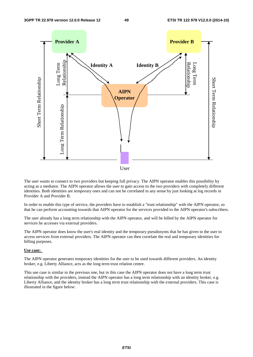

The user wants to connect to two providers but keeping full privacy. The AIPN operator enables this possibility by acting as a mediator. The AIPN operator allows the user to gain access to the two providers with completely different identities. Both identities are temporary ones and can not be correlated in any sense by just looking at log records in Provider A and Provider B.

In order to enable this type of service, the providers have to establish a "trust relationship" with the AIPN operator, so that he can perform accounting towards that AIPN operator for the services provided to the AIPN operator's subscribers.

The user already has a long term relationship with the AIPN operator, and will be billed by the AIPN operator for services he accesses via external providers.

The AIPN operator does know the user's real identity and the temporary pseudonyms that he has given to the user to access services from external providers. The AIPN operator can then correlate the real and temporary identities for billing purposes.

#### **Use case:**

The AIPN operator generates temporary identities for the user to be used towards different providers. An identity broker, e.g. Liberty Alliance, acts as the long term trust relation centre.

This use case is similar to the previous one, but in this case the AIPN operator does not have a long term trust relationship with the providers, instead the AIPN operator has a long term relationship with an identity broker, e.g. Liberty Alliance, and the identity broker has a long term trust relationship with the external providers. This case is illustrated in the figure below: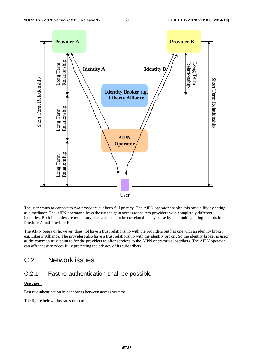

The user wants to connect to two providers but keep full privacy. The AIPN operator enables this possibility by acting as a mediator. The AIPN operator allows the user to gain access to the two providers with completely different identities. Both identities are temporary ones and can not be correlated in any sense by just looking at log records in Provider A and Provider B.

The AIPN operator however, does not have a trust relationship with the providers but has one with an identity broker e.g. Liberty Alliance. The providers also have a trust relationship with the identity broker. So the identity broker is used as the common trust point to for the providers to offer services to the AIPN operator's subscribers. The AIPN operator can offer these services fully protecting the privacy of its subscribers.

## C.2 Network issues

## C.2.1 Fast re-authentication shall be possible

#### **Use case:**

Fast re-authentication in handovers between access systems.

The figure below illustrates this case: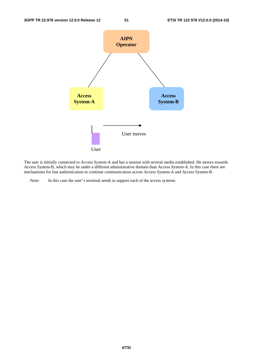

The user is initially connected to Access System-A and has a session with several media established. He moves towards Access System-B, which may be under a different administrative domain than Access System-A. In this case there are mechanisms for fast authentication to continue communication across Access System-A and Access System-B.

Note: In this case the user"s terminal needs to support each of the access systems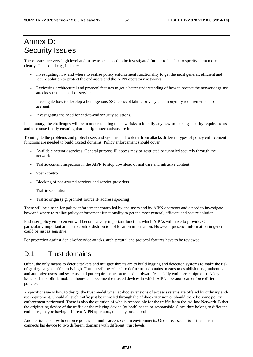## Annex D: Security Issues

These issues are very high level and many aspects need to be investigated further to be able to specify them more clearly. This could e.g., include:

- Investigating how and where to realize policy enforcement functionality to get the most general, efficient and secure solution to protect the end-users and the AIPN operators' networks.
- Reviewing architectural and protocol features to get a better understanding of how to protect the network against attacks such as denial-of-service.
- Investigate how to develop a homogenous SSO concept taking privacy and anonymity requirements into account.
- Investigating the need for end-to-end security solutions.

In summary, the challenges will be in understanding the new risks to identify any new or lacking security requirements, and of course finally ensuring that the right mechanisms are in place.

To mitigate the problems and protect users and systems and to deter from attacks different types of policy enforcement functions are needed to build trusted domains. Policy enforcement should cover

- Available network services. General purpose IP access may be restricted or tunneled securely through the network.
- Traffic/content inspection in the AIPN to stop download of malware and intrusive content.
- Spam control
- Blocking of non-trusted services and service providers
- Traffic separation
- Traffic origin (e.g. prohibit source IP address spoofing).

There will be a need for policy enforcement controlled by end-users and by AIPN operators and a need to investigate how and where to realize policy enforcement functionality to get the most general, efficient and secure solution.

End-user policy enforcement will become a very important function, which AIPNs will have to provide. One particularly important area is to control distribution of location information. However, presence information in general could be just as sensitive.

For protection against denial-of-service attacks, architectural and protocol features have to be reviewed**.** 

## D.1 Trust domains

Often, the only means to deter attackers and mitigate threats are to build logging and detection systems to make the risk of getting caught sufficiently high. Thus, it will be critical to define trust domains, means to establish trust, authenticate and authorize users and systems, and put requirements on trusted hardware (especially end-user equipment). A key issue is if monolithic mobile phones can become the trusted devices in which AIPN operators can enforce different policies.

A specific issue is how to design the trust model when ad-hoc extensions of access systems are offered by ordinary enduser equipment. Should all such traffic just be tunneled through the ad-hoc extension or should there be some policy enforcement performed. There is also the question of who is responsible for the traffic from the Ad-hoc Network. Either the originating device of the traffic or the relaying device (or both) has to be responsible. Since they belong to different end-users, maybe having different AIPN operators, this may pose a problem.

Another issue is how to enforce policies in multi-access system environments. One threat scenario is that a user connects his device to two different domains with different 'trust levels'.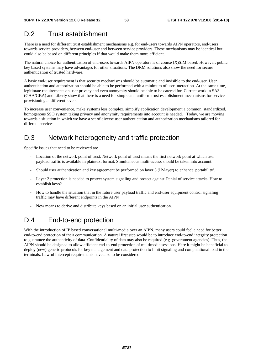## D.2 Trust establishment

There is a need for different trust establishment mechanisms e.g. for end-users towards AIPN operators, end-users towards service providers, between end-user and between service providers. These mechanisms may be identical but could also be based on different principles if that would make them more efficient.

The natural choice for authentication of end-users towards AIPN operators is of course (X)SIM based. However, public key based systems may have advantages for other situations. The DRM solutions also show the need for secure authentication of trusted hardware.

A basic end-user requirement is that security mechanisms should be automatic and invisible to the end-user. User authentication and authorization should be able to be performed with a minimum of user interaction. At the same time, legitimate requirements on user privacy and even anonymity should be able to be catered for. Current work in SA3 (GAA/GBA) and Liberty show that there is a need for simple and uniform trust establishment mechanisms for service provisioning at different levels.

To increase user convenience, make systems less complex, simplify application development a common, standardized, homogenous SSO system taking privacy and anonymity requirements into account is needed. Today, we are moving towards a situation in which we have a set of diverse user authentication and authorization mechanisms tailored for different services.

## D.3 Network heterogeneity and traffic protection

Specific issues that need to be reviewed are

- Location of the network point of trust. Network point of trust means the first network point at which user payload traffic is available in plaintext format. Simultaneous multi-access should be taken into account.
- Should user authentication and key agreement be performed on layer 3 (IP-layer) to enhance 'portability'.
- Layer 2 protection is needed to protect system signaling and protect against Denial of service attacks. How to establish keys?
- How to handle the situation that in the future user payload traffic and end-user equipment control signaling traffic may have different endpoints in the AIPN
- New means to derive and distribute keys based on an initial user authentication.

## D.4 End-to-end protection

With the introduction of IP based conversational multi-media over an AIPN, many users could feel a need for better end-to-end protection of their communication. A natural first step would be to introduce end-to-end integrity protection to guarantee the authenticity of data. Confidentiality of data may also be required (e.g. government agencies). Thus, the AIPN should be designed to allow efficient end-to-end protection of multimedia sessions. Here it might be beneficial to deploy (new) generic protocols for key management and data protection to limit signaling and computational load in the terminals. Lawful intercept requirements have also to be considered.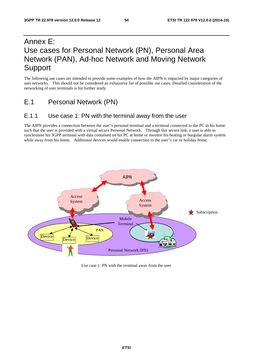## Annex E: Use cases for Personal Network (PN), Personal Area Network (PAN), Ad-hoc Network and Moving Network Support

The following use cases are intended to provide some examples of how the AIPN is impacted by major categories of user networks. This should not be considered an exhaustive list of possible use cases. Detailed consideration of the networking of user terminals is for further study.

E.1 Personal Network (PN)

## E.1.1 Use case 1: PN with the terminal away from the user

The AIPN provides a connection between the user"s personal terminal and a terminal connected to the PC in his home such that the user is provided with a virtual secure Personal Network. Through this secure link, a user is able to synchronise his 3GPP terminal with data contained on his PC at home or monitor his heating or burgular alarm system while away from his home. Additional devices would enable connection to the user"s car or holiday home.



Use case 1: PN with the terminal away from the user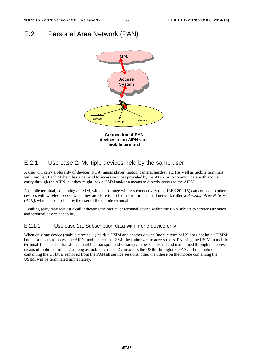## E.2 Personal Area Network (PAN)



## E.2.1 Use case 2: Multiple devices held by the same user

A user will carry a plurality of devices (PDA, music player, laptop, camera, headset, etc.) as well as mobile terminals with him/her. Each of them has a demand to access services provided by the AIPN or to communicate with another entity through the AIPN, but they might lack a USIM and/or a means to directly access to the AIPN.

A mobile terminal, containing a USIM, with short-range wireless connectivity (e.g. IEEE 802.15) can connect to other devices with wireless access when they are close to each other to form a small network called a *Personal Area Network (PAN),* which is controlled by the user of the mobile terminal.

A calling party may request a call indicating the particular terminal/device within the PAN subject to service attributes and terminal/device capability.

## E.2.1.1 Use case 2a: Subscription data within one device only

When only one device (mobile terminal 1) holds a USIM and another device (mobile terminal 2) does not hold a USIM but has a means to access the AIPN, mobile terminal 2 will be authorized to access the AIPN using the USIM in mobile terminal 1. The data transfer channel (i.e. transport and session) can be established and maintained through the access means of mobile terminal 2 as long as mobile terminal 2 can access the USIM through the PAN. If the mobile containing the USIM is removed from the PAN all service sessions, other than those on the mobile containing the USIM, will be terminated immediately.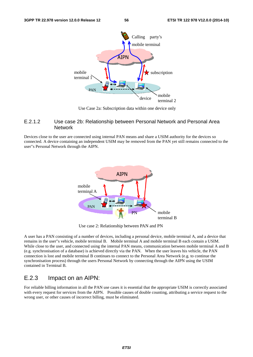

Use Case 2a: Subscription data within one device only

### E.2.1.2 Use case 2b: Relationship between Personal Network and Personal Area **Network**

Devices close to the user are connected using internal PAN means and share a USIM authority for the devices so connected. A device containing an independent USIM may be removed from the PAN yet still remains connected to the user"s Personal Network through the AIPN.



Use case 2: Relationship between PAN and PN

A user has a PAN consisting of a number of devices, including a personal device, mobile terminal A, and a device that remains in the user"s vehicle, mobile terminal B. Mobile terminal A and mobile terminal B each contain a USIM. While close to the user, and connected using the internal PAN means, communication between mobile terminal A and B (e.g. synchronisation of a database) is achieved directly via the PAN. When the user leaves his vehicle, the PAN connection is lost and mobile terminal B continues to connect to the Personal Area Network (e.g. to continue the synchronisation process) through the users Personal Network by connecting through the AIPN using the USIM contained in Terminal B.

## E.2.3 Impact on an AIPN:

For reliable billing information in all the PAN use cases it is essential that the appropriate USIM is correctly associated with every request for services from the AIPN. Possible causes of double counting, attributing a service request to the wrong user, or other causes of incorrect billing, must be eliminated.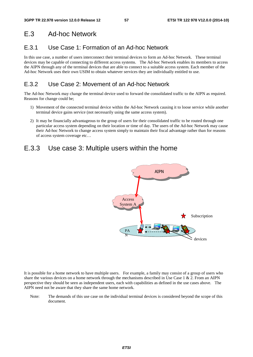## E.3 Ad-hoc Network

## E.3.1 Use Case 1: Formation of an Ad-hoc Network

In this use case, a number of users interconnect their terminal devices to form an Ad-hoc Network. These terminal devices may be capable of connecting to different access systems. The Ad-hoc Network enables its members to access the AIPN through any of the terminal devices that are able to connect to a suitable access system. Each member of the Ad-hoc Network uses their own USIM to obtain whatever services they are individually entitled to use.

## E.3.2 Use Case 2: Movement of an Ad-hoc Network

The Ad-hoc Network may change the terminal device used to forward the consolidated traffic to the AIPN as required. Reasons for change could be;

- 1) Movement of the connected terminal device within the Ad-hoc Network causing it to loose service while another terminal device gains service (not necessarily using the same access system).
- 2) It may be financially advantageous to the group of users for their consolidated traffic to be routed through one particular access system depending on their location or time of day. The users of the Ad-hoc Network may cause their Ad-hoc Network to change access system simply to maintain their fiscal advantage rather than for reasons of access system coverage etc…

## E.3.3 Use case 3: Multiple users within the home



It is possible for a home network to have multiple users. For example, a family may consist of a group of users who share the various devices on a home network through the mechanisms described in Use Case  $1 \& 2$ . From an AIPN perspective they should be seen as independent users, each with capabilities as defined in the use cases above. The AIPN need not be aware that they share the same home network.

Note: The demands of this use case on the individual terminal devices is considered beyond the scope of this document.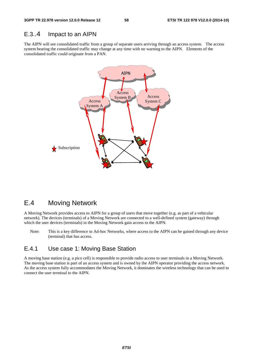## E.3..4 Impact to an AIPN

The AIPN will see consolidated traffic from a group of separate users arriving through an access system. The access system bearing the consolidated traffic may change at any time with no warning to the AIPN. Elements of the consolidated traffic could originate from a PAN.



## E.4 Moving Network

A Moving Network provides access to AIPN for a group of users that move together (e.g. as part of a vehicular network). The devices (terminals) of a Moving Network are connected to a well-defined system (gateway) through which the user devices (terminals) in the Moving Network gain access to the AIPN.

Note: This is a key difference to Ad-hoc Networks, where access to the AIPN can be gained through any device (terminal) that has access.

## E.4.1 Use case 1: Moving Base Station

A moving base station (e.g. a pico cell) is responsible to provide radio access to user terminals in a Moving Network. The moving base station is part of an access system and is owned by the AIPN operator providing the access network. As the access system fully accommodates the Moving Network, it dominates the wireless technology that can be used to connect the user terminal to the AIPN.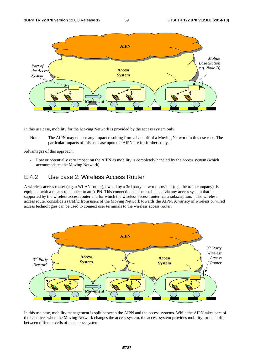

In this use case, mobility for the Moving Network is provided by the access system only.

Note: The AIPN may not see any impact resulting from a handoff of a Moving Network in this use case. The particular impacts of this use case upon the AIPN are for further study.

Advantages of this approach:

- Low or potentially zero impact on the AIPN as mobility is completely handled by the access system (which accommodates the Moving Network)

## E.4.2 Use case 2: Wireless Access Router

A wireless access router (e.g. a WLAN router), owned by a 3rd party network provider (e.g. the train company), is equipped with a means to connect to an AIPN. This connection can be established via any access system that is supported by the wireless access router and for which the wireless access router has a subscription. The wireless access router consolidates traffic from users of the Moving Network towards the AIPN. A variety of wireless or wired access technologies can be used to connect user terminals to the wireless access router.



In this use case, mobility management is split between the AIPN and the access systems. While the AIPN takes care of the handover when the Moving Network changes the access system, the access system provides mobility for handoffs between different cells of the access system.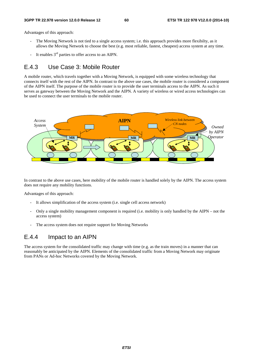Advantages of this approach:

- The Moving Network is not tied to a single access system; i.e. this approach provides more flexibilty, as it allows the Moving Network to choose the best (e.g. most reliable, fastest, cheapest) access system at any time.
- It enables  $3<sup>rd</sup>$  parties to offer access to an AIPN.

## E.4.3 Use Case 3: Mobile Router

A mobile router, which travels together with a Moving Network, is equipped with some wireless technology that connects itself with the rest of the AIPN. In contrast to the above use cases, the mobile router is considered a component of the AIPN itself. The purpose of the mobile router is to provide the user terminals access to the AIPN. As such it serves as gateway between the Moving Network and the AIPN. A variety of wireless or wired access technologies can be used to connect the user terminals to the mobile router.



In contrast to the above use cases, here mobility of the mobile router is handled solely by the AIPN. The access system does not require any mobility functions.

Advantages of this approach:

- It allows simplification of the access system (i.e. single cell access network)
- Only a single mobility management component is required (i.e. mobility is only handled by the AIPN not the access system)
- The access system does not require support for Moving Networks

## E.4.4 Impact to an AIPN

The access system for the consolidated traffic may change with time (e.g. as the train moves) in a manner that can reasonably be anticipated by the AIPN. Elements of the consolidated traffic from a Moving Network may originate from PANs or Ad-hoc Networks covered by the Moving Network.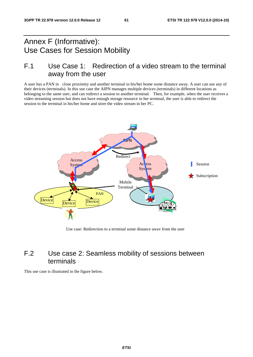## Annex F (Informative): Use Cases for Session Mobility

## F.1 Use Case 1: Redirection of a video stream to the terminal away from the user

A user has a PAN in close proximity and another terminal in his/her home some distance away. A user can use any of their devices (terminals). In this use case the AIPN manages multiple devices (terminals) in different locations as belonging to the same user, and can redirect a session to another terminal. Then, for example, when the user receives a video streaming session but does not have enough storage resource in her terminal, the user is able to redirect the session to the terminal in his/her home and store the video stream in her PC.



Use case: Redirection to a terminal some distance away from the user

## F.2 Use case 2: Seamless mobility of sessions between terminals

This use case is illustrated in the figure below.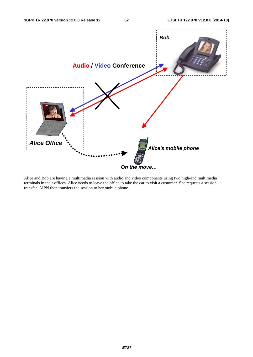

Alice and Bob are having a multimedia session with audio and video components using two high-end multimedia terminals in their offices. Alice needs to leave the office to take the car to visit a customer. She requests a session transfer. AIPN then transfers the session to her mobile phone.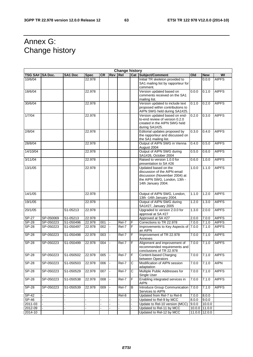## Annex G: Change history

 $\mathbf{r}$ 

| <b>Change history</b> |                |                         |             |           |            |            |                |                                                                                                                                             |       |               |              |
|-----------------------|----------------|-------------------------|-------------|-----------|------------|------------|----------------|---------------------------------------------------------------------------------------------------------------------------------------------|-------|---------------|--------------|
| <b>TSG SA#</b>        | <b>SA Doc.</b> | <b>SA1 Doc</b>          | <b>Spec</b> | <b>CR</b> | <b>Rev</b> | <b>Rel</b> |                | <b>Cat Subject/Comment</b>                                                                                                                  | Old   | <b>New</b>    | WI           |
| 10/6/04               |                |                         | 22.978      |           |            |            |                | Initial TR skeleton provided to<br>SA1 mailing list by rapporteur for<br>comment.                                                           |       | 0.0.0         | <b>AIPFS</b> |
| 18/6/04               |                |                         | 22.978      |           |            |            |                | Version updated based on<br>comments received on the SA1<br>mailing list.                                                                   | 0.0.0 | 0.1.0         | <b>AIPFS</b> |
| 30/6/04               |                |                         | 22.978      |           |            |            |                | Version updated to include text<br>proposed within contributions to<br>AIPN SWG held during SA1#25.                                         | 0.1.0 | 0.2.0         | <b>AIPFS</b> |
| 1/7/04                |                |                         | 22.978      |           |            |            |                | Version updated based on end-<br>to-end review of version 0.2.0<br>created in the AIPN SWG held<br>during SA1#25.                           | 0.2.0 | 0.3.0         | <b>AIPFS</b> |
| 2/8/04                |                |                         | 22.978      |           |            |            |                | Editorial updates proposed by<br>the rapporteur and discussed on<br>the SA1 mailing list.                                                   | 0.3.0 | 0.4.0         | <b>AIPFS</b> |
| 28/8/04               |                |                         | 22.978      |           |            |            |                | Output of AIPN SWG in Vienna<br>August 2004                                                                                                 | 0.4.0 | 0.5.0         | <b>AIPFS</b> |
| 14/10/04              |                |                         | 22.978      |           |            |            |                | Output of AIPN SWG during<br>SA1#26, October 2004                                                                                           | 0.5.0 | 0.6.0         | <b>AIPFS</b> |
| 3/11/04               |                |                         | 22.978      |           |            |            |                | Raised to version 1.0.0 for<br>presentation to SA #26                                                                                       | 0.6.0 | 1.0.0         | <b>AIPFS</b> |
| 13/1/05               |                |                         | 22.978      |           |            |            |                | Updated based on the<br>discussion of the AIPN email<br>discussion (November 2004) at<br>the AIPN SWG, London, 13th -<br>14th January 2004. | 1.0.0 | 1.1.0         | <b>AIPFS</b> |
| 14/1/05               |                |                         | 22.978      |           |            |            |                | Output of AIPN SWG, London,<br>13th -14th January 2004.                                                                                     | 1.1.0 | 1.2.0         | <b>AIPFS</b> |
| 19/1/05               |                |                         | 22.978      |           |            |            |                | Output of AIPN SWG during<br>SA1#27, January 2005                                                                                           | 1.2.0 | 1.3.0         | <b>AIPFS</b> |
| 20/1/05               |                | S1-05213                | 22.978      |           |            |            |                | Upgraded to version 2.0.0 for<br>approval at SA #27                                                                                         | 1.3.0 | 2.0.0         | <b>AIPFS</b> |
| $SP-27$               | SP-050069      | S1-05213                | 22.978      |           |            |            |                | Approved at SA #27                                                                                                                          | 2.0.0 | 7.0.0         | <b>AIPFS</b> |
| $S P - 28$            | SP-050223      | S1-050496               | 22.978      | 001       |            | Rel-7      | F              | Corrections to TR 22.978                                                                                                                    | 7.0.0 | 7.1.0         | <b>AIPFS</b> |
| <b>SP-28</b>          | SP-050223      | S1-050497               | 22.978      | 002       |            | Rel-7      | $\overline{F}$ | Improvements to Key Aspects of<br>an AIPN                                                                                                   | 7.0.0 | 7.1.0         | <b>AIPFS</b> |
| $S P - 28$            | SP-050223      | S1-050498               | 22.978      | 003       |            | Rel-7      | F              | Improvement of TR 22.978<br>Annexes                                                                                                         | 7.0.0 | 7.1.0         | <b>AIPFS</b> |
| <b>SP-28</b>          | SP-050223      | S1-050499               | 22.978      | 004       |            | Rel-7      | F              | Alignment and improvement of<br>recommended requirements and<br>conclusions of TR 22.978                                                    | 7.0.0 | 7.1.0         | <b>AIPFS</b> |
| <b>SP-28</b>          | SP-050223      | S1-050502               | 22.978      | 005       |            | Rel-7      | F              | Content-based Charging<br>between Operators                                                                                                 | 7.0.0 | 7.1.0         | <b>AIPFS</b> |
| $SP-28$               | SP-050223      | S1-050503               | 22.978      | 006       |            | Rel-7      | $\mathsf{C}$   | Modification of AIPN session<br>adaptation                                                                                                  | 7.0.0 | 7.1.0         | <b>AIPN</b>  |
| <b>SP-28</b>          | SP-050223      | S1-050529               | 22.978      | 007       |            | Rel-7      | С              | Multiple Public Addresses for<br>Single User                                                                                                | 7.0.0 | 7.1.0         | <b>AIPFS</b> |
| $SP-28$               | SP-050223      | S1-050538               | 22.978      | 008       |            | $ReI-7$    | F              | Enabling integrated services in<br><b>AIPN</b>                                                                                              | 7.0.0 | 7.1.0         | <b>AIPFS</b> |
| SP-28                 | SP-050223      | $\overline{S1}$ -050539 | 22.978      | 009       | ÷,         | Rel-7      | B              | Introduce Group Communication<br>Services to AIPN                                                                                           | 7.0.0 | 7.1.0         | <b>AIPFS</b> |
| SP-42                 |                |                         |             |           |            | Rel-8      |                | Updated from Rel-7 to Rel-8                                                                                                                 | 7.0.0 | 8.0.0         |              |
| SP-46                 |                |                         |             |           |            |            |                | Updated to Rel-9 by MCC                                                                                                                     | 8.0.0 | 9.0.0         |              |
| 2011-03               |                |                         |             |           |            |            |                | Update to Rel-10 version (MCC)                                                                                                              | 9.0.0 | 10.0.0        |              |
| 2012-09               |                |                         |             |           |            |            |                | Updated to Rel-11 by MCC                                                                                                                    |       | 10.0.0 11.0.0 |              |
| 2014-10               |                |                         |             |           |            |            |                | Updated to Rel-12 by MCC                                                                                                                    |       | 11.0.0 12.0.0 |              |